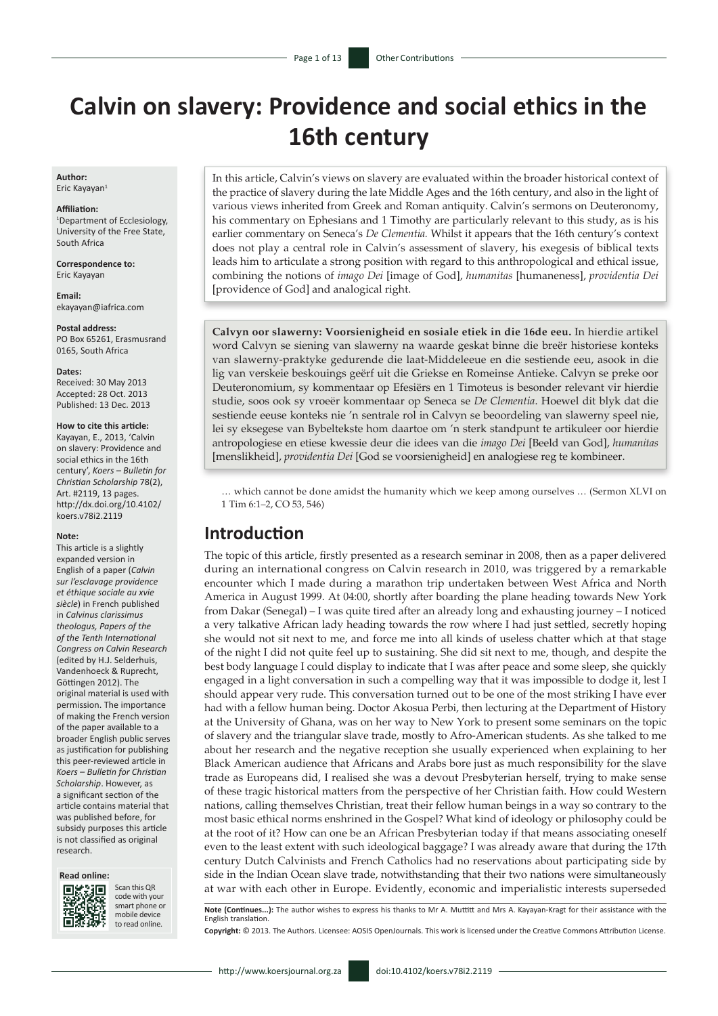# **Calvin on slavery: Providence and social ethics in the 16th century**

**Author:** Eric Kayayan<sup>1</sup>

#### **Affiliation:**

1 Department of Ecclesiology, University of the Free State, South Africa

**Correspondence to:** Eric Kayayan

**Email:** [ekayayan@iafrica.com](mailto:ekayayan@iafrica.com)

#### **Postal address:**

PO Box 65261, Erasmusrand 0165, South Africa

#### **Dates:**

Received: 30 May 2013 Accepted: 28 Oct. 2013 Published: 13 Dec. 2013

#### **How to cite this article:**

Kayayan, E., 2013, 'Calvin on slavery: Providence and social ethics in the 16th century', *Koers – Bulletin for Christian Scholarship* 78(2), Art. #2119, 13 pages. [http://dx.doi.org/10.4102/](http://dx.doi.org/10.4102/koers.v78i2.2119) [koers.v78i2.2119](http://dx.doi.org/10.4102/koers.v78i2.2119)

#### **Note:**

This article is a slightly expanded version in English of a paper (*Calvin sur l'esclavage providence et éthique sociale au xvie siècle*) in French published in *Calvinus clarissimus theologus, Papers of the of the Tenth International Congress on Calvin Research* (edited by H.J. Selderhuis, Vandenhoeck & Ruprecht, Göttingen 2012). The original material is used with permission. The importance of making the French version of the paper available to a broader English public serves as justification for publishing this peer-reviewed article in *Koers – Bulletin for Christian Scholarship*. However, as a significant section of the article contains material that was published before, for subsidy purposes this article is not classified as original research.



33



Scan this QR code with your smart phone or mobile device to read online.

In this article, Calvin's views on slavery are evaluated within the broader historical context of the practice of slavery during the late Middle Ages and the 16th century, and also in the light of various views inherited from Greek and Roman antiquity. Calvin's sermons on Deuteronomy, his commentary on Ephesians and 1 Timothy are particularly relevant to this study, as is his earlier commentary on Seneca's *De Clementia.* Whilst it appears that the 16th century's context does not play a central role in Calvin's assessment of slavery, his exegesis of biblical texts leads him to articulate a strong position with regard to this anthropological and ethical issue, combining the notions of *imago Dei* [image of God], *humanitas* [humaneness], *providentia Dei*  [providence of God] and analogical right.

**Calvyn oor slawerny: Voorsienigheid en sosiale etiek in die 16de eeu.** In hierdie artikel word Calvyn se siening van slawerny na waarde geskat binne die breër historiese konteks van slawerny-praktyke gedurende die laat-Middeleeue en die sestiende eeu, asook in die lig van verskeie beskouings geërf uit die Griekse en Romeinse Antieke. Calvyn se preke oor Deuteronomium, sy kommentaar op Efesiërs en 1 Timoteus is besonder relevant vir hierdie studie, soos ook sy vroeër kommentaar op Seneca se *De Clementia*. Hoewel dit blyk dat die sestiende eeuse konteks nie 'n sentrale rol in Calvyn se beoordeling van slawerny speel nie, lei sy eksegese van Bybeltekste hom daartoe om 'n sterk standpunt te artikuleer oor hierdie antropologiese en etiese kwessie deur die idees van die *imago Dei* [Beeld van God], *humanitas* [menslikheid], *providentia Dei* [God se voorsienigheid] en analogiese reg te kombineer.

… which cannot be done amidst the humanity which we keep among ourselves … (Sermon XLVI on 1 Tim 6:1–2, CO 53, 546)

#### **Introduction**

The topic of this article, firstly presented as a research seminar in 2008, then as a paper delivered during an international congress on Calvin research in 2010, was triggered by a remarkable encounter which I made during a marathon trip undertaken between West Africa and North America in August 1999. At 04:00, shortly after boarding the plane heading towards New York from Dakar (Senegal) – I was quite tired after an already long and exhausting journey – I noticed a very talkative African lady heading towards the row where I had just settled, secretly hoping she would not sit next to me, and force me into all kinds of useless chatter which at that stage of the night I did not quite feel up to sustaining. She did sit next to me, though, and despite the best body language I could display to indicate that I was after peace and some sleep, she quickly engaged in a light conversation in such a compelling way that it was impossible to dodge it, lest I should appear very rude. This conversation turned out to be one of the most striking I have ever had with a fellow human being. Doctor Akosua Perbi, then lecturing at the Department of History at the University of Ghana, was on her way to New York to present some seminars on the topic of slavery and the triangular slave trade, mostly to Afro-American students. As she talked to me about her research and the negative reception she usually experienced when explaining to her Black American audience that Africans and Arabs bore just as much responsibility for the slave trade as Europeans did, I realised she was a devout Presbyterian herself, trying to make sense of these tragic historical matters from the perspective of her Christian faith. How could Western nations, calling themselves Christian, treat their fellow human beings in a way so contrary to the most basic ethical norms enshrined in the Gospel? What kind of ideology or philosophy could be at the root of it? How can one be an African Presbyterian today if that means associating oneself even to the least extent with such ideological baggage? I was already aware that during the 17th century Dutch Calvinists and French Catholics had no reservations about participating side by side in the Indian Ocean slave trade, notwithstanding that their two nations were simultaneously at war with each other in Europe. Evidently, economic and imperialistic interests superseded

**Note (Continues...):** The author wishes to express his thanks to Mr A. Muttitt and Mrs A. Kayayan-Kragt for their assistance with the English translation.

**Copyright:** © 2013. The Authors. Licensee: AOSIS OpenJournals. This work is licensed under the Creative Commons Attribution License.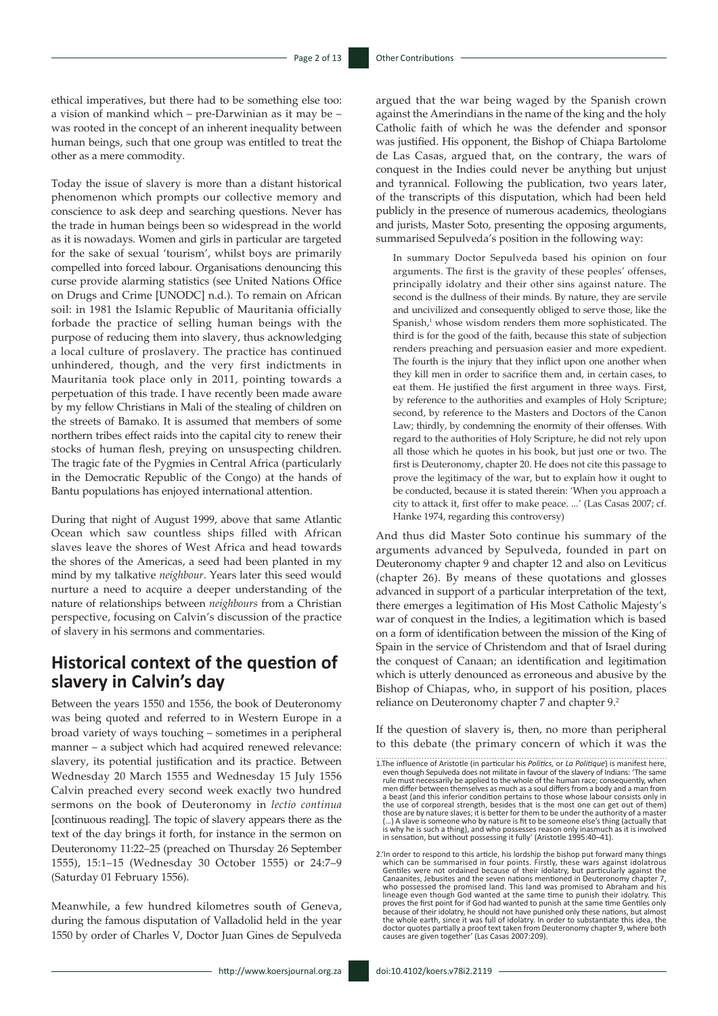ethical imperatives, but there had to be something else too: a vision of mankind which – pre-Darwinian as it may be – was rooted in the concept of an inherent inequality between human beings, such that one group was entitled to treat the other as a mere commodity.

Today the issue of slavery is more than a distant historical phenomenon which prompts our collective memory and conscience to ask deep and searching questions. Never has the trade in human beings been so widespread in the world as it is nowadays. Women and girls in particular are targeted for the sake of sexual 'tourism', whilst boys are primarily compelled into forced labour. Organisations denouncing this curse provide alarming statistics (see United Nations Office on Drugs and Crime [UNODC] n.d.). To remain on African soil: in 1981 the Islamic Republic of Mauritania officially forbade the practice of selling human beings with the purpose of reducing them into slavery, thus acknowledging a local culture of proslavery. The practice has continued unhindered, though, and the very first indictments in Mauritania took place only in 2011, pointing towards a perpetuation of this trade. I have recently been made aware by my fellow Christians in Mali of the stealing of children on the streets of Bamako. It is assumed that members of some northern tribes effect raids into the capital city to renew their stocks of human flesh, preying on unsuspecting children. The tragic fate of the Pygmies in Central Africa (particularly in the Democratic Republic of the Congo) at the hands of Bantu populations has enjoyed international attention.

During that night of August 1999, above that same Atlantic Ocean which saw countless ships filled with African slaves leave the shores of West Africa and head towards the shores of the Americas, a seed had been planted in my mind by my talkative *neighbour*. Years later this seed would nurture a need to acquire a deeper understanding of the nature of relationships between *neighbours* from a Christian perspective, focusing on Calvin's discussion of the practice of slavery in his sermons and commentaries.

# **Historical context of the question of slavery in Calvin's day**

Between the years 1550 and 1556, the book of Deuteronomy was being quoted and referred to in Western Europe in a broad variety of ways touching – sometimes in a peripheral manner – a subject which had acquired renewed relevance: slavery, its potential justification and its practice. Between Wednesday 20 March 1555 and Wednesday 15 July 1556 Calvin preached every second week exactly two hundred sermons on the book of Deuteronomy in *lectio continua* [continuous reading]*.* The topic of slavery appears there as the text of the day brings it forth, for instance in the sermon on Deuteronomy 11:22–25 (preached on Thursday 26 September 1555), 15:1–15 (Wednesday 30 October 1555) or 24:7–9 (Saturday 01 February 1556).

Meanwhile, a few hundred kilometres south of Geneva, during the famous disputation of Valladolid held in the year 1550 by order of Charles V, Doctor Juan Gines de Sepulveda

argued that the war being waged by the Spanish crown against the Amerindians in the name of the king and the holy Catholic faith of which he was the defender and sponsor was justified. His opponent, the Bishop of Chiapa Bartolome de Las Casas, argued that, on the contrary, the wars of conquest in the Indies could never be anything but unjust and tyrannical. Following the publication, two years later, of the transcripts of this disputation, which had been held publicly in the presence of numerous academics, theologians and jurists, Master Soto, presenting the opposing arguments, summarised Sepulveda's position in the following way:

In summary Doctor Sepulveda based his opinion on four arguments. The first is the gravity of these peoples' offenses, principally idolatry and their other sins against nature. The second is the dullness of their minds. By nature, they are servile and uncivilized and consequently obliged to serve those, like the Spanish,<sup>1</sup> whose wisdom renders them more sophisticated. The third is for the good of the faith, because this state of subjection renders preaching and persuasion easier and more expedient. The fourth is the injury that they inflict upon one another when they kill men in order to sacrifice them and, in certain cases, to eat them. He justified the first argument in three ways. First, by reference to the authorities and examples of Holy Scripture; second, by reference to the Masters and Doctors of the Canon Law; thirdly, by condemning the enormity of their offenses. With regard to the authorities of Holy Scripture, he did not rely upon all those which he quotes in his book, but just one or two. The first is Deuteronomy, chapter 20. He does not cite this passage to prove the legitimacy of the war, but to explain how it ought to be conducted, because it is stated therein: 'When you approach a city to attack it, first offer to make peace. ...' (Las Casas 2007; cf. Hanke 1974, regarding this controversy)

And thus did Master Soto continue his summary of the arguments advanced by Sepulveda, founded in part on Deuteronomy chapter 9 and chapter 12 and also on Leviticus (chapter 26). By means of these quotations and glosses advanced in support of a particular interpretation of the text, there emerges a legitimation of His Most Catholic Majesty's war of conquest in the Indies, a legitimation which is based on a form of identification between the mission of the King of Spain in the service of Christendom and that of Israel during the conquest of Canaan; an identification and legitimation which is utterly denounced as erroneous and abusive by the Bishop of Chiapas, who, in support of his position, places reliance on Deuteronomy chapter 7 and chapter 9.2

If the question of slavery is, then, no more than peripheral to this debate (the primary concern of which it was the

<sup>1.</sup>The influence of Aristotle (in particular his *Politics,* or *La Politique*) is manifest here, even though Sepulveda does not militate in favour of the slavery of Indians: 'The same rule must necessarily be applied to the whole of the human race; consequently, when men differ between themselves as much as a soul differs from a body and a man from a beast (and this inferior condition pertains to those whose labour consists only in the use of corporeal strength, besides that is the most one can get out of them) those are by nature slaves; it is better for them to be under the authority of a master (...) A slave is someone who by nature is fit to be someone else's thing (actually that<br>is why he is such a thing), and who possesses reason only inasmuch as it is involved<br>in sensation, but without possessing it fully' (A

<sup>2.&#</sup>x27;In order to respond to this article, his lordship the bishop put forward many things which can be summarised in four points. Firstly, these wars against idolatrous Gentiles were not ordained because of their idolatry, but particularly against the Canaanites, Jebusites and the seven nations mentioned in Deuteronomy chapter 7, who possessed the promised land. This land was promised to Abraham and his lineage even though God wanted at the same time to punish their idolatry. This<br>proves the first point for if God had wanted to punish at the same time Gentiles only<br>because of their idolatry, he should not have punished on causes are given together' (Las Casas 2007:209).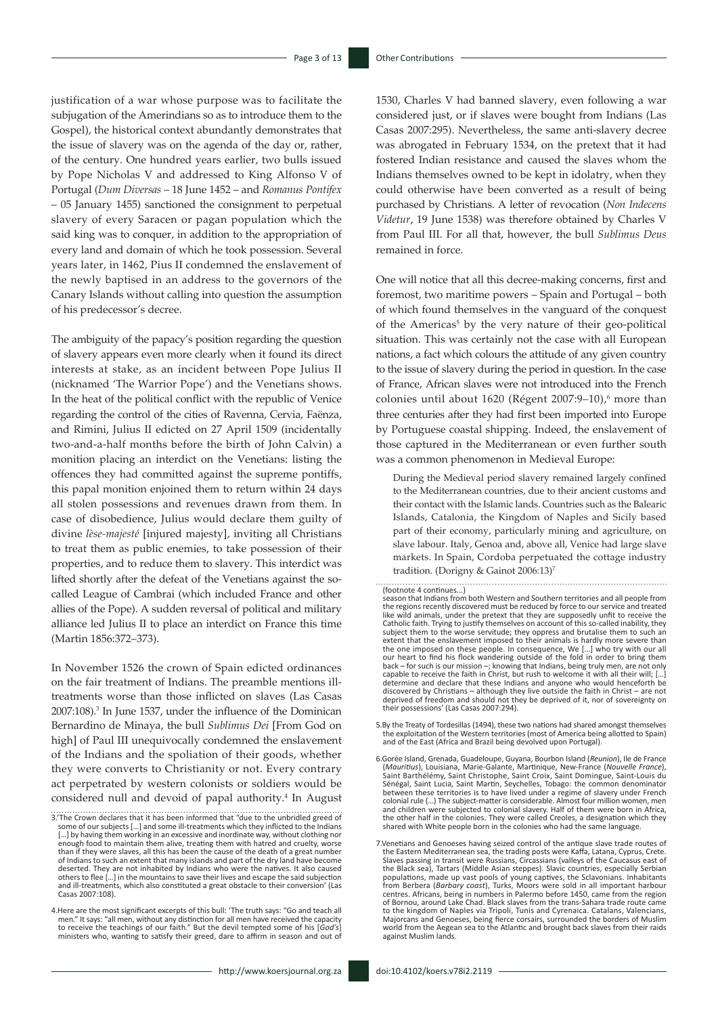justification of a war whose purpose was to facilitate the subjugation of the Amerindians so as to introduce them to the Gospel), the historical context abundantly demonstrates that the issue of slavery was on the agenda of the day or, rather, of the century. One hundred years earlier, two bulls issued by Pope Nicholas V and addressed to King Alfonso V of Portugal (*Dum Diversas* – 18 June 1452 – and *Romanus Pontifex* – 05 January 1455) sanctioned the consignment to perpetual slavery of every Saracen or pagan population which the said king was to conquer, in addition to the appropriation of every land and domain of which he took possession. Several years later, in 1462, Pius II condemned the enslavement of the newly baptised in an address to the governors of the Canary Islands without calling into question the assumption of his predecessor's decree.

The ambiguity of the papacy's position regarding the question of slavery appears even more clearly when it found its direct interests at stake, as an incident between Pope Julius II (nicknamed 'The Warrior Pope') and the Venetians shows. In the heat of the political conflict with the republic of Venice regarding the control of the cities of Ravenna, Cervia, Faënza, and Rimini, Julius II edicted on 27 April 1509 (incidentally two-and-a-half months before the birth of John Calvin) a monition placing an interdict on the Venetians: listing the offences they had committed against the supreme pontiffs, this papal monition enjoined them to return within 24 days all stolen possessions and revenues drawn from them. In case of disobedience, Julius would declare them guilty of divine *lèse-majesté* [injured majesty], inviting all Christians to treat them as public enemies, to take possession of their properties, and to reduce them to slavery. This interdict was lifted shortly after the defeat of the Venetians against the socalled League of Cambrai (which included France and other allies of the Pope). A sudden reversal of political and military alliance led Julius II to place an interdict on France this time (Martin 1856:372–373).

In November 1526 the crown of Spain edicted ordinances on the fair treatment of Indians. The preamble mentions illtreatments worse than those inflicted on slaves (Las Casas 2007:108).3 In June 1537, under the influence of the Dominican Bernardino de Minaya, the bull *Sublimus Dei* [From God on high] of Paul III unequivocally condemned the enslavement of the Indians and the spoliation of their goods, whether they were converts to Christianity or not. Every contrary act perpetrated by western colonists or soldiers would be considered null and devoid of papal authority.<sup>4</sup> In August

4. Here are the most significant excerpts of this bull: 'The truth says: "Go and teach all<br>men." It says: "all men, without any distinction for all men have received the capacity<br>to receive the teachings of our faith." But ministers who, wanting to satisfy their greed, dare to affirm in season and out of

1530, Charles V had banned slavery, even following a war considered just, or if slaves were bought from Indians (Las Casas 2007:295). Nevertheless, the same anti-slavery decree was abrogated in February 1534, on the pretext that it had fostered Indian resistance and caused the slaves whom the Indians themselves owned to be kept in idolatry, when they could otherwise have been converted as a result of being purchased by Christians. A letter of revocation (*Non Indecens Videtur*, 19 June 1538) was therefore obtained by Charles V from Paul III. For all that, however, the bull *Sublimus Deus*  remained in force.

One will notice that all this decree-making concerns, first and foremost, two maritime powers – Spain and Portugal – both of which found themselves in the vanguard of the conquest of the Americas<sup>5</sup> by the very nature of their geo-political situation. This was certainly not the case with all European nations, a fact which colours the attitude of any given country to the issue of slavery during the period in question. In the case of France, African slaves were not introduced into the French colonies until about  $1620$  (Régent  $2007:9-10$ ),<sup>6</sup> more than three centuries after they had first been imported into Europe by Portuguese coastal shipping. Indeed, the enslavement of those captured in the Mediterranean or even further south was a common phenomenon in Medieval Europe:

During the Medieval period slavery remained largely confined to the Mediterranean countries, due to their ancient customs and their contact with the Islamic lands. Countries such as the Balearic Islands, Catalonia, the Kingdom of Naples and Sicily based part of their economy, particularly mining and agriculture, on slave labour. Italy, Genoa and, above all, Venice had large slave markets. In Spain, Cordoba perpetuated the cottage industry tradition. (Dorigny & Gainot 2006:13)<sup>7</sup>

- 5.By the Treaty of Tordesillas (1494), these two nations had shared amongst themselves the exploitation of the Western territories (most of America being allotted to Spain) and of the East (Africa and Brazil being devolved upon Portugal).
- 6.Gorée Island, Grenada, Guadeloupe, Guyana, Bourbon Island (*Reunion*), Ile de France (*Mauritius*), Louisiana, Marie-Galante, Martinique, New-France (*Nouvelle France*), Saint Barthélémy, Saint Christophe, Saint Croix, Saint Domingue, Saint-Louis du Sénégal, Saint Lucia, Saint Martin, Seychelles, Tobago: the common denominator between these territories is to have lived under a regime of slavery under French colonial rule (...) The subject-matter is considerable. Almost four million women, men<br>and children were subjected to colonial slavery. Half of them were born in Africa,<br>the other half in the colonies. They were called Cre shared with White people born in the colonies who had the same language.

<sup>3.&#</sup>x27;The Crown declares that it has been informed that "due to the unbridled greed of some of our subjects [...] and some ill-treatments which they inflicted to the Indians<br>[...] by having them working in an excessive and inordinate way, without clothing nor<br>enough food to maintain them alive, treating them than if they were slaves, all this has been the cause of the death of a great number of Indians to such an extent that many islands and part of the dry land have become deserted. They are not inhabited by Indians who were the natives. It also caused others to flee […] in the mountains to save their lives and escape the said subjection and ill-treatments, which also constituted a great obstacle to their conversion' (Las Casas 2007:108).

<sup>(</sup>footnote 4 continues...)

season that Indians from both Western and Southern territories and all people from the regions recently discovered must be reduced by force to our service and treated like wild animals, under the pretext that they are supposedly unfit to receive the Catholic faith. Trying to justify themselves on account of this so-called inability, they subject them to the worse servitude; they oppress and brutalise them to such an extent that the enslavement imposed to their animals is hardly more severe than the one imposed on these people. In consequence, We […] who try with our all our heart to find his flock wandering outside of the fold in order to bring them back – for such is our mission –; knowing that Indians, being truly men, are not only capable to receive the faith in Christ, but rush to welcome it with all their will; […] determine and declare that these Indians and anyone who would henceforth be<br>discovered by Christians – although they live outside the faith in Christ – are not<br>deprived of freedom and should not they be deprived of it, nor their possessions' (Las Casas 2007:294).

<sup>7.</sup>Venetians and Genoeses having seized control of the antique slave trade routes of the Eastern Mediterranean sea, the trading posts were Kaffa, Latana, Cyprus, Crete. Slaves passing in transit were Russians, Circassians (valleys of the Caucasus east of the Black sea), Tartars (Middle Asian steppes). Slavic countries, especially Serbian populations, made up vast pools of young captives, the Sclavonians. Inhabitants<br>from Berbera (*Barbary coast*), Turks, Moors were sold in all important harbour<br>centres. Africans, being in numbers in Palermo before 1450, ca of Bornou, around Lake Chad. Black slaves from the trans-Sahara trade route came to the kingdom of Naples via Tripoli, Tunis and Cyrenaica. Catalans, Valencians, Majorcans and Genoeses, being fierce corsairs, surrounded the borders of Muslim world from the Aegean sea to the Atlantic and brought back slaves from their raids against Muslim lands.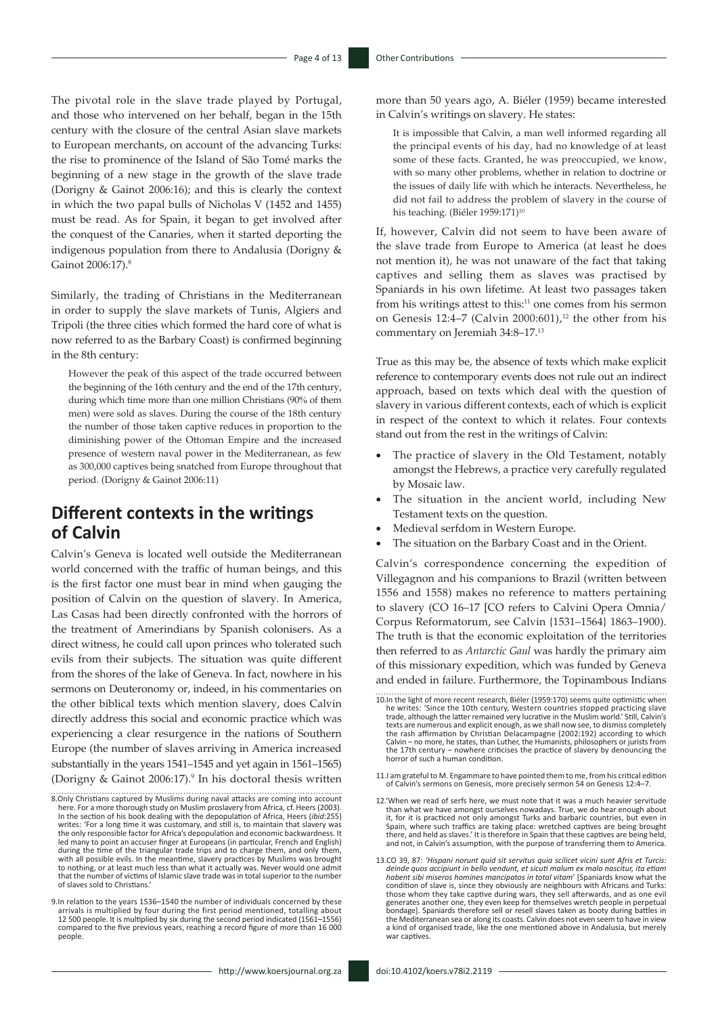The pivotal role in the slave trade played by Portugal, and those who intervened on her behalf, began in the 15th century with the closure of the central Asian slave markets to European merchants, on account of the advancing Turks: the rise to prominence of the Island of São Tomé marks the beginning of a new stage in the growth of the slave trade (Dorigny & Gainot 2006:16); and this is clearly the context in which the two papal bulls of Nicholas V (1452 and 1455) must be read. As for Spain, it began to get involved after the conquest of the Canaries, when it started deporting the indigenous population from there to Andalusia (Dorigny & Gainot 2006:17).8

Similarly, the trading of Christians in the Mediterranean in order to supply the slave markets of Tunis, Algiers and Tripoli (the three cities which formed the hard core of what is now referred to as the Barbary Coast) is confirmed beginning in the 8th century:

However the peak of this aspect of the trade occurred between the beginning of the 16th century and the end of the 17th century, during which time more than one million Christians (90% of them men) were sold as slaves. During the course of the 18th century the number of those taken captive reduces in proportion to the diminishing power of the Ottoman Empire and the increased presence of western naval power in the Mediterranean, as few as 300,000 captives being snatched from Europe throughout that period. (Dorigny & Gainot 2006:11)

#### **Different contexts in the writings of Calvin**

Calvin's Geneva is located well outside the Mediterranean world concerned with the traffic of human beings, and this is the first factor one must bear in mind when gauging the position of Calvin on the question of slavery. In America, Las Casas had been directly confronted with the horrors of the treatment of Amerindians by Spanish colonisers. As a direct witness, he could call upon princes who tolerated such evils from their subjects. The situation was quite different from the shores of the lake of Geneva. In fact, nowhere in his sermons on Deuteronomy or, indeed, in his commentaries on the other biblical texts which mention slavery, does Calvin directly address this social and economic practice which was experiencing a clear resurgence in the nations of Southern Europe (the number of slaves arriving in America increased substantially in the years 1541–1545 and yet again in 1561–1565) (Dorigny & Gainot 2006:17).9 In his doctoral thesis written

more than 50 years ago, A. Biéler (1959) became interested in Calvin's writings on slavery. He states:

It is impossible that Calvin, a man well informed regarding all the principal events of his day, had no knowledge of at least some of these facts. Granted, he was preoccupied, we know, with so many other problems, whether in relation to doctrine or the issues of daily life with which he interacts. Nevertheless, he did not fail to address the problem of slavery in the course of his teaching. (Biéler 1959:171)<sup>10</sup>

If, however, Calvin did not seem to have been aware of the slave trade from Europe to America (at least he does not mention it), he was not unaware of the fact that taking captives and selling them as slaves was practised by Spaniards in his own lifetime. At least two passages taken from his writings attest to this:<sup>11</sup> one comes from his sermon on Genesis 12:4–7 (Calvin 2000:601),<sup>12</sup> the other from his commentary on Jeremiah 34:8–17.13

True as this may be, the absence of texts which make explicit reference to contemporary events does not rule out an indirect approach, based on texts which deal with the question of slavery in various different contexts, each of which is explicit in respect of the context to which it relates. Four contexts stand out from the rest in the writings of Calvin:

- The practice of slavery in the Old Testament, notably amongst the Hebrews, a practice very carefully regulated by Mosaic law.
- The situation in the ancient world, including New Testament texts on the question.
- Medieval serfdom in Western Europe.
- The situation on the Barbary Coast and in the Orient.

Calvin's correspondence concerning the expedition of Villegagnon and his companions to Brazil (written between 1556 and 1558) makes no reference to matters pertaining to slavery (CO 16–17 [CO refers to Calvini Opera Omnia/ Corpus Reformatorum, see Calvin {1531–1564} 1863–1900). The truth is that the economic exploitation of the territories then referred to as *Antarctic Gaul* was hardly the primary aim of this missionary expedition, which was funded by Geneva and ended in failure. Furthermore, the Topinambous Indians

- 10.In the light of more recent research, Biéler (1959:170) seems quite optimistic when he writes: 'Since the 10th century, Western countries stopped practicing slave trade, although the latter remained very lucrative in the Muslim world.' Still, Calvin's texts are numerous and explicit enough, as we shall now see, to dismiss completely the rash affirmation by Christian Delacampagne (2002:192) according to which Calvin – no more, he states, than Luther, the Humanists, philosophers or jurists from the 17th century – nowhere criticises the practice of slavery by denouncing the horror of such a human condition.
- 11.I am grateful to M. Engammare to have pointed them to me, from his critical edition of Calvin's sermons on Genesis, more precisely sermon 54 on Genesis 12:4–7.
- 12.'When we read of serfs here, we must note that it was a much heavier servitude than what we have amongst ourselves nowadays. True, we do hear enough about it, for it is practiced not only amongst Turks and barbaric countries, but even in Spain, where such traffics are taking place: wretched captives are being brought<br>there, and held as slaves.' It is therefore in Spain that these captives are being held,<br>and not, in Calvin's assumption, with the purpose of
- 13.CO 39, 87: *'Hispani norunt quid sit servitus quia scilicet vicini sunt Afris et Turcis: deinde quos accipiunt in bello vendunt, et sicuti malum ex malo nascitur, ita etiam habent sibi miseros homines mancipatos in total vitam*' [Spaniards know what the condition of slave is, since they obviously are neighbours with Africans and Turks: those whom they take captive during wars, they sell afterwards, and as one evil generates another one, they even keep for themselves wretch people in perpetual bondage]. Spaniards therefore sell or resell slaves taken as booty during battles in the Mediterranean sea or along its coasts. Calvin does not even seem to have in view a kind of organised trade, like the one mentioned above in Andalusia, but merely war captives

<sup>8.</sup>Only Christians captured by Muslims during naval attacks are coming into account here. For a more thorough study on Muslim proslavery from Africa, cf. Heers (2003). In the section of his book dealing with the depopulation of Africa, Heers (*ibid*:255) writes: 'For a long time it was customary, and still is, to maintain that slavery was the only responsible factor for Africa's depopulation and economic backwardness. It led many to point an accuser finger at Europeans (in particular, French and English) during the time of the triangular trade trips and to charge them, and only them, with all possible evils. In the meantime, slavery practices by Muslims was brought to nothing, or at least much less than what it actually was. Never would one admit that the number of victims of Islamic slave trade was in total superior to the number of slaves sold to Christians.'

<sup>9.</sup>In relation to the years 1536–1540 the number of individuals concerned by these arrivals is multiplied by four during the first period mentioned, totalling about 12 500 people. It is multiplied by six during the second period indicated (1561–1556) compared to the five previous years, reaching a record figure of more than 16 000 people.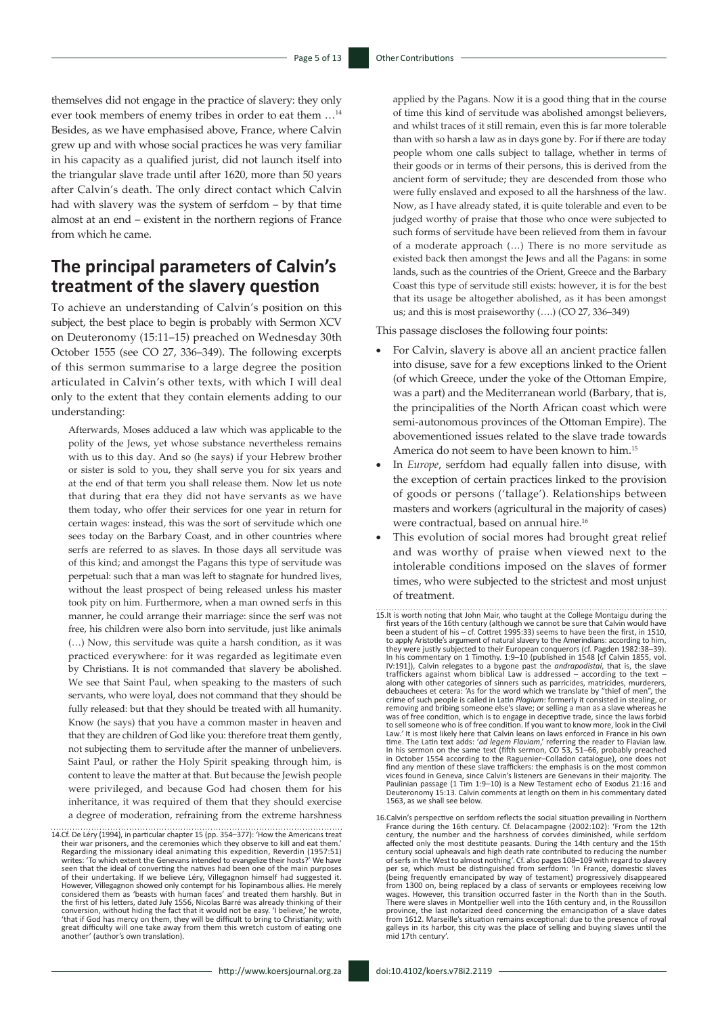themselves did not engage in the practice of slavery: they only ever took members of enemy tribes in order to eat them …14 Besides, as we have emphasised above, France, where Calvin grew up and with whose social practices he was very familiar in his capacity as a qualified jurist, did not launch itself into the triangular slave trade until after 1620, more than 50 years after Calvin's death. The only direct contact which Calvin had with slavery was the system of serfdom – by that time almost at an end – existent in the northern regions of France from which he came.

### **The principal parameters of Calvin's treatment of the slavery question**

To achieve an understanding of Calvin's position on this subject, the best place to begin is probably with Sermon XCV on Deuteronomy (15:11–15) preached on Wednesday 30th October 1555 (see CO 27, 336–349). The following excerpts of this sermon summarise to a large degree the position articulated in Calvin's other texts, with which I will deal only to the extent that they contain elements adding to our understanding:

Afterwards, Moses adduced a law which was applicable to the polity of the Jews, yet whose substance nevertheless remains with us to this day. And so (he says) if your Hebrew brother or sister is sold to you, they shall serve you for six years and at the end of that term you shall release them. Now let us note that during that era they did not have servants as we have them today, who offer their services for one year in return for certain wages: instead, this was the sort of servitude which one sees today on the Barbary Coast, and in other countries where serfs are referred to as slaves. In those days all servitude was of this kind; and amongst the Pagans this type of servitude was perpetual: such that a man was left to stagnate for hundred lives, without the least prospect of being released unless his master took pity on him. Furthermore, when a man owned serfs in this manner, he could arrange their marriage: since the serf was not free, his children were also born into servitude, just like animals (…) Now, this servitude was quite a harsh condition, as it was practiced everywhere: for it was regarded as legitimate even by Christians. It is not commanded that slavery be abolished. We see that Saint Paul, when speaking to the masters of such servants, who were loyal, does not command that they should be fully released: but that they should be treated with all humanity. Know (he says) that you have a common master in heaven and that they are children of God like you: therefore treat them gently, not subjecting them to servitude after the manner of unbelievers. Saint Paul, or rather the Holy Spirit speaking through him, is content to leave the matter at that. But because the Jewish people were privileged, and because God had chosen them for his inheritance, it was required of them that they should exercise a degree of moderation, refraining from the extreme harshness

14.Cf. De Léry (1994), in particular chapter 15 (pp. 354–377): 'How the Americans treat their war prisoners, and the ceremonies which they observe to kill and eat them.' Regarding the missionary ideal animating this expedition, Reverdin (1957:51) writes: 'To which extent the Genevans intended to evangelize their hosts?' We have seen that the ideal of converting the natives had been one of the main purposes of their undertaking. If we believe Léry, Villegagnon himself had suggested it. However, Villegagnon showed only contempt for his Topinambous allies. He merely considered them as 'beasts with human faces' and treated them harshly. But in the first of his letters, dated July 1556, Nicolas Barré was already thinking of their<br>conversion, without hiding the fact that it would not be easy. 'I believe,' he wrote,<br>'that if God has mercy on them, they will be diff great difficulty will one take away from them this wretch custom of eating one another' (author's own translation). applied by the Pagans. Now it is a good thing that in the course of time this kind of servitude was abolished amongst believers, and whilst traces of it still remain, even this is far more tolerable than with so harsh a law as in days gone by. For if there are today people whom one calls subject to tallage, whether in terms of their goods or in terms of their persons, this is derived from the ancient form of servitude; they are descended from those who were fully enslaved and exposed to all the harshness of the law. Now, as I have already stated, it is quite tolerable and even to be judged worthy of praise that those who once were subjected to such forms of servitude have been relieved from them in favour of a moderate approach (…) There is no more servitude as existed back then amongst the Jews and all the Pagans: in some lands, such as the countries of the Orient, Greece and the Barbary Coast this type of servitude still exists: however, it is for the best that its usage be altogether abolished, as it has been amongst us; and this is most praiseworthy (….) (CO 27, 336–349)

This passage discloses the following four points:

- For Calvin, slavery is above all an ancient practice fallen into disuse, save for a few exceptions linked to the Orient (of which Greece, under the yoke of the Ottoman Empire, was a part) and the Mediterranean world (Barbary, that is, the principalities of the North African coast which were semi-autonomous provinces of the Ottoman Empire). The abovementioned issues related to the slave trade towards America do not seem to have been known to him.15
- In *Europe*, serfdom had equally fallen into disuse, with the exception of certain practices linked to the provision of goods or persons ('tallage'). Relationships between masters and workers (agricultural in the majority of cases) were contractual, based on annual hire.<sup>16</sup>
- This evolution of social mores had brought great relief and was worthy of praise when viewed next to the intolerable conditions imposed on the slaves of former times, who were subjected to the strictest and most unjust of treatment.
- 15.It is worth noting that John Mair, who taught at the College Montaigu during the first years of the 16th century (although we cannot be sure that Calvin would have been a student of his – cf. Cottret 1995:33) seems to have been the first, in 1510, to apply Aristotle's argument of natural slavery to the Amerindians: according to him, they were justly subjected to their European conquerors (cf. Pagden 1982:38–39). In his commentary on 1 Timothy. 1:9–10 (published in 1548 [cf Calvin 1855, vol. IV:191]), Calvin relegates to a bygone past the *andrapodistai*, that is, the slave traffickers against whom biblical Law is addressed – according to the text – along with other categories of sinners such as parricides, matricides, murderers, debauchees et cetera: 'As for the word which we translate by "thief of men", the crime of such energies of the mental of mental position rem was of free condition, which is to engage in deceptive trade, since the laws forbid to sell someone who is of free condition. If you want to know more, look in the Civil Law*.'* It is most likely here that Calvin leans on laws enforced in France in his own time. The Latin text adds: '*ad legem Flaviam*,' referring the reader to Flavian law. In his sermon on the same text (fifth sermon, CO 53, 51–66, probably preached in October 1554 according to the Raguenier–Colladon catalogue), one does not find any mention of these slave traffickers: the emphasis is on the most common vices found in Geneva, since Calvin's listeners are Genevans in their majority. The Paulinian passage (1 Tim 1:9–10) is a New Testament echo of Exodus 21:16 and Deuteronomy 15:13. Calvin comments at length on them in his commentary dated 1563, as we shall see below.
- 16.Calvin's perspective on serfdom reflects the social situation prevailing in Northern France during the 16th century. Cf. Delacampagne (2002:102): 'From the 12th<br>century, the number and the harshness of corvées diminished, while serfdom<br>affected only the most destitute peasants. During the 14th century and century social upheavals and high death rate contributed to reducing the number<br>of serfs in the West to almost nothing'. Cf. also pages 108–109 with regard to slavery<br>per se, which must be distinguished from serfdom: 'In F (being frequently emancipated by way of testament) progressively disappeared from 1300 on, being replaced by a class of servants or employees receiving low wages. However, this transition occurred faster in the North than in the South. There were slaves in Montpellier well into the 16th century and, in the Roussillon<br>province, the last notarized deed concerning the emancipation of a slave dates<br>from 1612. Marseille's situation remains exceptional: due to galleys in its harbor, this city was the place of selling and buying slaves until the mid 17th century'.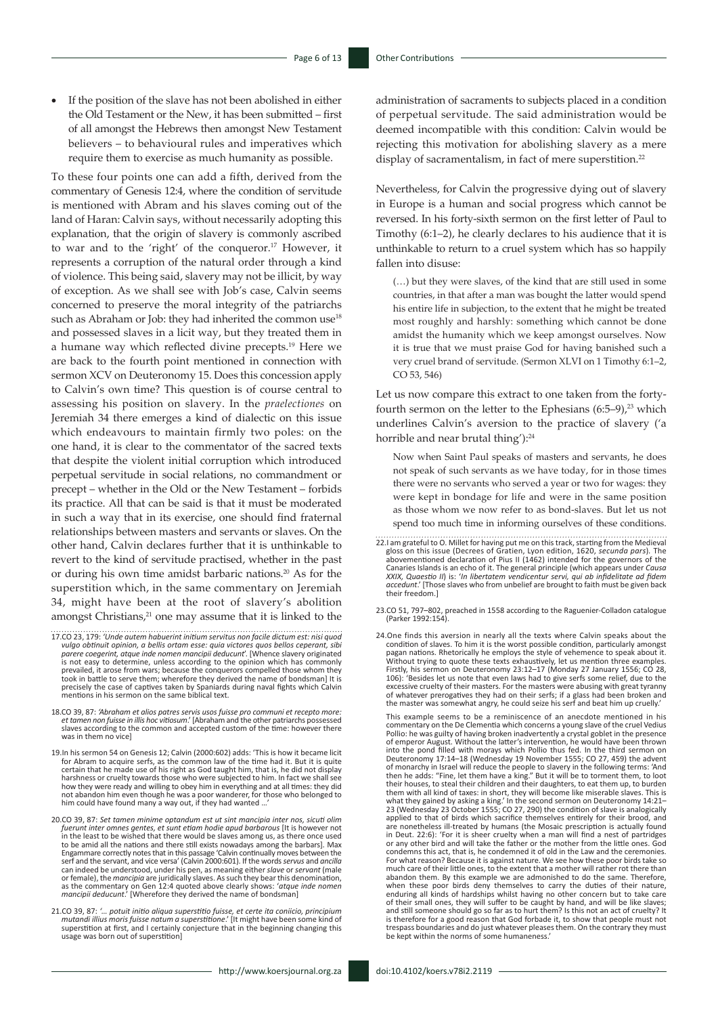If the position of the slave has not been abolished in either the Old Testament or the New, it has been submitted – first of all amongst the Hebrews then amongst New Testament believers – to behavioural rules and imperatives which require them to exercise as much humanity as possible.

To these four points one can add a fifth, derived from the commentary of Genesis 12:4, where the condition of servitude is mentioned with Abram and his slaves coming out of the land of Haran: Calvin says, without necessarily adopting this explanation, that the origin of slavery is commonly ascribed to war and to the 'right' of the conqueror.17 However, it represents a corruption of the natural order through a kind of violence. This being said, slavery may not be illicit, by way of exception. As we shall see with Job's case, Calvin seems concerned to preserve the moral integrity of the patriarchs such as Abraham or Job: they had inherited the common use<sup>18</sup> and possessed slaves in a licit way, but they treated them in a humane way which reflected divine precepts.19 Here we are back to the fourth point mentioned in connection with sermon XCV on Deuteronomy 15. Does this concession apply to Calvin's own time? This question is of course central to assessing his position on slavery. In the *praelectiones* on Jeremiah 34 there emerges a kind of dialectic on this issue which endeavours to maintain firmly two poles: on the one hand, it is clear to the commentator of the sacred texts that despite the violent initial corruption which introduced perpetual servitude in social relations, no commandment or precept – whether in the Old or the New Testament – forbids its practice. All that can be said is that it must be moderated in such a way that in its exercise, one should find fraternal relationships between masters and servants or slaves. On the other hand, Calvin declares further that it is unthinkable to revert to the kind of servitude practised, whether in the past or during his own time amidst barbaric nations.<sup>20</sup> As for the superstition which, in the same commentary on Jeremiah 34, might have been at the root of slavery's abolition amongst Christians,<sup>21</sup> one may assume that it is linked to the

- 17.CO 23, 179: *'Unde autem habuerint initium servitus non facile dictum est: nisi quod vulgo obtinuit opinion, a bellis ortam esse: quia victores quos bellos ceperant, sibi parere coegerint, atque inde nomen mancipii deducunt*'. [Whence slavery originated is not easy to determine, unless according to the opinion which has commonly prevailed, it arose from wars; because the conquerors compelled those whom they took in battle to serve them; wherefore they derived the name of bondsman] It is precisely the case of captives taken by Spaniards during naval fights which Calvin mentions in his sermon on the same biblical text.
- 18.CO 39, 87: 'Abraham et alios patres servis usos fuisse pro communi et recepto more:<br>et tamen non fuisse in illis hoc vitiosum.' [Abraham and the other patriarchs possessed<br>slaves according to the common and accepted cus was in them no vice]
- 19.In his sermon 54 on Genesis 12; Calvin (2000:602) adds: 'This is how it became licit for Abram to acquire serfs, as the common law of the time had it. But it is quite certain that he made use of his right as God taught him, that is, he did not display harshness or cruelty towards those who were subjected to him. In fact we shall see<br>how they were ready and willing to obey him in everything and at all times: they did<br>not abandon him even though he was a poor wanderer, fo him could have found many a way out, if they had wanted ...
- 20.CO 39, 87: *Set tamen minime optandum est ut sint mancipia inter nos, sicuti olim*  fuerunt inter omnes gentes, et sunt etiam hodie apud barbarous [It is however not<br>in the least to be wished that there would be slaves among us, as there once used to be amid all the nations and there still exists nowadays among the barbars]. Max<br>Engammare correctly notes that in this passage 'Calvin continually moves between the<br>serf and the servant, and vice versa' (Calvin 2000:601 can indeed be understood, under his pen, as meaning either *slave* or *servant* (male or female), the *mancipia* are juridically slaves. As such they bear this denomination, as the commentary on Gen 12:4 quoted above clearly shows: '*atque inde nomen mancipii deducunt*.' [Wherefore they derived the name of bondsman]
- 21.CO 39, 87: '... potuit initio aliqua superstitio fuisse, et certe ita coniicio, principium<br>mutandi illius moris fuisse natum a superstitione.' [It might have been some kind of<br>superstition at first, and I certainly conj usage was born out of superstition]

administration of sacraments to subjects placed in a condition of perpetual servitude. The said administration would be deemed incompatible with this condition: Calvin would be rejecting this motivation for abolishing slavery as a mere display of sacramentalism, in fact of mere superstition.<sup>22</sup>

Nevertheless, for Calvin the progressive dying out of slavery in Europe is a human and social progress which cannot be reversed. In his forty-sixth sermon on the first letter of Paul to Timothy (6:1–2), he clearly declares to his audience that it is unthinkable to return to a cruel system which has so happily fallen into disuse:

(…) but they were slaves, of the kind that are still used in some countries, in that after a man was bought the latter would spend his entire life in subjection, to the extent that he might be treated most roughly and harshly: something which cannot be done amidst the humanity which we keep amongst ourselves. Now it is true that we must praise God for having banished such a very cruel brand of servitude. (Sermon XLVI on 1 Timothy 6:1–2, CO 53, 546)

Let us now compare this extract to one taken from the fortyfourth sermon on the letter to the Ephesians  $(6:5-9)$ ,<sup>23</sup> which underlines Calvin's aversion to the practice of slavery ('a horrible and near brutal thing'):<sup>24</sup>

Now when Saint Paul speaks of masters and servants, he does not speak of such servants as we have today, for in those times there were no servants who served a year or two for wages: they were kept in bondage for life and were in the same position as those whom we now refer to as bond-slaves. But let us not spend too much time in informing ourselves of these conditions.

- 22.I am grateful to O. Millet for having put me on this track, starting from the Medieval<br>gloss on this issue (Decrees of Gratien, Lyon edition, 1620, secunda pars). The<br>abovementioned declaration of Pius II (1462) intende Canaries Islands is an echo of it. The general principle (which appears under *Causa XXIX, Quaestio II*) is: '*In libertatem vendicentur servi, qui ab infidelitate ad fidem accedunt*.' [Those slaves who from unbelief are brought to faith must be given back their freedom.]
- 23.CO 51, 797–802, preached in 1558 according to the Raguenier-Colladon catalogue (Parker 1992:154).
- 24.One finds this aversion in nearly all the texts where Calvin speaks about the condition of slaves. To him it is the worst possible condition, particularly amongst pagan nations. Rhetorically he employs the style of vehemence to speak about it. Without trying to quote these texts exhaustively, let us mention three examples. Firstly, his sermon on Deuteronomy 23:12–17 (Monday 27 January 1556; CO 28, 106): 'Besides let us note that even laws had to give serfs some relief, due to the excessive cruelty of their masters. For the masters were abusing with great tyranny<br>of whatever prerogatives they had on their serfs; if a glass had been broken and<br>the master was somewhat angry, he could seize his serf an

This example seems to be a reminiscence of an anecdote mentioned in his commentary on the De Clementia which concerns a young slave of the cruel Vedius Pollio: he was guilty of having broken inadvertently a crystal goblet in the presence of emperor August. Without the latter's intervention, he would have been thrown into the pond filled with morays which Pollio thus fed. In the third sermon on Deuteronomy 17:14–18 (Wednesday 19 November 1555; CO 27, 459) the advent of monarchy in Israel will reduce the people to slavery in the following terms: 'And<br>then he adds: "Fine, let them have a king." But it will be to torment them, to loot<br>their houses, to steal their children and their daugh what they gained by asking a king.' In the second sermon on Deuteronomy 14:21– 23 (Wednesday 23 October 1555; CO 27, 290) the condition of slave is analogically applied to that of birds which sacrifice themselves entirely for their brood, and are nonetheless ill-treated by humans (the Mosaic prescription is actually found in Deut. 22:6): 'For it is sheer cruelty when a man will find a nest of partridges or any other bird and will take the father or the mother from the little ones. God condemns this act, that is, he condemned it of old in the Law and the ceremonies. For what reason? Because it is against nature. We see how these poor birds take so much care of their little ones, to the extent that a mother will rather rot there than abandon them. By this example we are admonished to do the same. Therefore, when these poor birds deny themselves to carry the duties of their nature, enduring all kinds of hardships whilst having no other concern but to take care of their small ones, they will suffer to be caught by hand, and will be like slaves; and still someone should go so far as to hurt them? Is this not an act of cruelty? It is therefore for a good reason that God forbade it, to show that people must not trespass boundaries and do just whatever pleases them. On the contrary they must be kept within the norms of some humaneness.'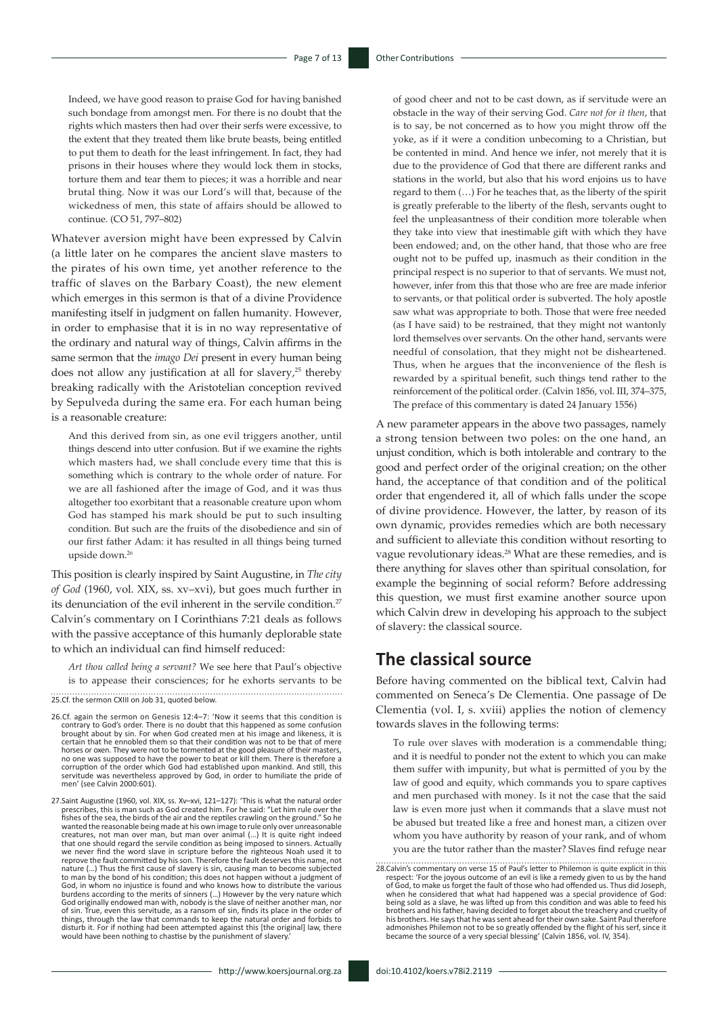Indeed, we have good reason to praise God for having banished such bondage from amongst men. For there is no doubt that the rights which masters then had over their serfs were excessive, to the extent that they treated them like brute beasts, being entitled to put them to death for the least infringement. In fact, they had prisons in their houses where they would lock them in stocks, torture them and tear them to pieces; it was a horrible and near brutal thing. Now it was our Lord's will that, because of the wickedness of men, this state of affairs should be allowed to continue. (CO 51, 797–802)

Whatever aversion might have been expressed by Calvin (a little later on he compares the ancient slave masters to the pirates of his own time, yet another reference to the traffic of slaves on the Barbary Coast), the new element which emerges in this sermon is that of a divine Providence manifesting itself in judgment on fallen humanity. However, in order to emphasise that it is in no way representative of the ordinary and natural way of things, Calvin affirms in the same sermon that the *imago Dei* present in every human being does not allow any justification at all for slavery,<sup>25</sup> thereby breaking radically with the Aristotelian conception revived by Sepulveda during the same era. For each human being is a reasonable creature:

And this derived from sin, as one evil triggers another, until things descend into utter confusion. But if we examine the rights which masters had, we shall conclude every time that this is something which is contrary to the whole order of nature. For we are all fashioned after the image of God, and it was thus altogether too exorbitant that a reasonable creature upon whom God has stamped his mark should be put to such insulting condition. But such are the fruits of the disobedience and sin of our first father Adam: it has resulted in all things being turned upside down.<sup>2</sup>

This position is clearly inspired by Saint Augustine, in *The city of God* (1960, vol. XIX, ss. xv–xvi), but goes much further in its denunciation of the evil inherent in the servile condition.<sup>27</sup> Calvin's commentary on I Corinthians 7:21 deals as follows with the passive acceptance of this humanly deplorable state to which an individual can find himself reduced:

*Art thou called being a servant?* We see here that Paul's objective is to appease their consciences; for he exhorts servants to be

25.Cf. the sermon CXIII on Job 31, quoted below.

26.Cf. again the sermon on Genesis 12:4–7: 'Now it seems that this condition is contrary to God's order. There is no doubt that this happened as some confusion brought about by sin. For when God created men at his image and likeness, it is certain that he ennobled them so that their condition was not to be that of mere horses or oxen. They were not to be tormented at the good pleasure of their masters, no one was supposed to have the power to beat or kill them. There is therefore a corruption of the order which God had established upon mankind. And still, this servitude was nevertheless approved by God, in order to humiliate the pride of men' (see Calvin 2000:601).

27.Saint Augustine (1960, vol. XIX, ss. Xv–xvi, 121–127): 'This is what the natural order<br>prescribes, this is man such as God created him. For he said: "Let him rule over the<br>fishes of the sea, the birds of the air and the wanted the reasonable being made at his own image to rule only over unreasonable creatures, not man over man, but man over animal (…) It is quite right indeed that one should regard the servile condition as being imposed to sinners. Actually we never find the word slave in scripture before the righteous Noah used it to reprove the fault committed by his son. Therefore the fault deserves this name, not nature (…) Thus the first cause of slavery is sin, causing man to become subjected to man by the bond of his condition; this does not happen without a judgment of God, in whom no injustice is found and who knows how to distribute the various burdens according to the merits of sinners (…) However by the very nature which God originally endowed man with, nobody is the slave of neither another man, nor of sin. True, even this servitude, as a ransom of sin, finds its place in the order of things, through the law that commands to keep the natural order and forbids to disturb it. For if nothing had been attempted against this [the original] law, there would have been nothing to chastise by the punishment of slavery

of good cheer and not to be cast down, as if servitude were an obstacle in the way of their serving God. *Care not for it then*, that is to say, be not concerned as to how you might throw off the yoke, as if it were a condition unbecoming to a Christian, but be contented in mind. And hence we infer, not merely that it is due to the providence of God that there are different ranks and stations in the world, but also that his word enjoins us to have regard to them (…) For he teaches that, as the liberty of the spirit is greatly preferable to the liberty of the flesh, servants ought to feel the unpleasantness of their condition more tolerable when they take into view that inestimable gift with which they have been endowed; and, on the other hand, that those who are free ought not to be puffed up, inasmuch as their condition in the principal respect is no superior to that of servants. We must not, however, infer from this that those who are free are made inferior to servants, or that political order is subverted. The holy apostle saw what was appropriate to both. Those that were free needed (as I have said) to be restrained, that they might not wantonly lord themselves over servants. On the other hand, servants were needful of consolation, that they might not be disheartened. Thus, when he argues that the inconvenience of the flesh is rewarded by a spiritual benefit, such things tend rather to the reinforcement of the political order. (Calvin 1856, vol. III, 374–375, The preface of this commentary is dated 24 January 1556)

A new parameter appears in the above two passages, namely a strong tension between two poles: on the one hand, an unjust condition, which is both intolerable and contrary to the good and perfect order of the original creation; on the other hand, the acceptance of that condition and of the political order that engendered it, all of which falls under the scope of divine providence. However, the latter, by reason of its own dynamic, provides remedies which are both necessary and sufficient to alleviate this condition without resorting to vague revolutionary ideas.28 What are these remedies, and is there anything for slaves other than spiritual consolation, for example the beginning of social reform? Before addressing this question, we must first examine another source upon which Calvin drew in developing his approach to the subject of slavery: the classical source.

## **The classical source**

Before having commented on the biblical text, Calvin had commented on Seneca's De Clementia. One passage of De Clementia (vol. I, s. xviii) applies the notion of clemency towards slaves in the following terms:

To rule over slaves with moderation is a commendable thing; and it is needful to ponder not the extent to which you can make them suffer with impunity, but what is permitted of you by the law of good and equity, which commands you to spare captives and men purchased with money. Is it not the case that the said law is even more just when it commands that a slave must not be abused but treated like a free and honest man, a citizen over whom you have authority by reason of your rank, and of whom you are the tutor rather than the master? Slaves find refuge near

28.Calvin's commentary on verse 15 of Paul's letter to Philemon is quite explicit in this respect: 'For the joyous outcome of an evil is like a remedy given to us by the hand of God, to make us forget the fault of those who had offended us. Thus did Joseph, when he considered that what had happened was a special providence of God: being sold as a slave, he was lifted up from this condition and was able to feed his<br>brothers and his father, having decided to forget about the treachery and cruelty of<br>his brothers. He says that he was sent ahead for the admonishes Philemon not to be so greatly offended by the flight of his serf, since it became the source of a very special blessing' (Calvin 1856, vol. IV, 354).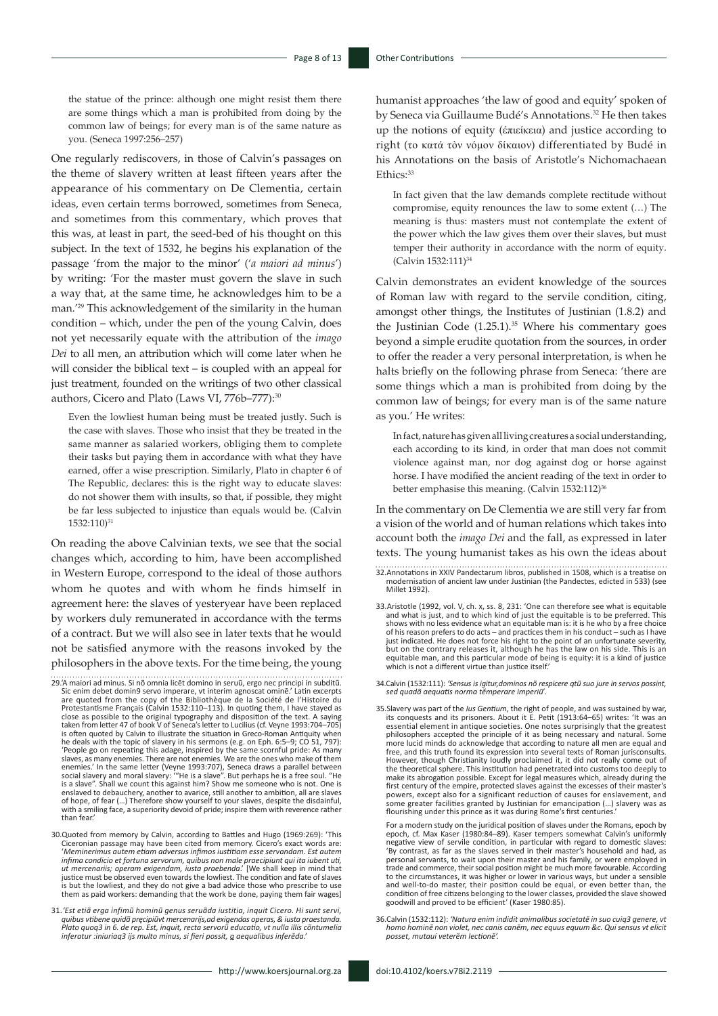the statue of the prince: although one might resist them there are some things which a man is prohibited from doing by the common law of beings; for every man is of the same nature as you. (Seneca 1997:256–257)

One regularly rediscovers, in those of Calvin's passages on the theme of slavery written at least fifteen years after the appearance of his commentary on De Clementia, certain ideas, even certain terms borrowed, sometimes from Seneca, and sometimes from this commentary, which proves that this was, at least in part, the seed-bed of his thought on this subject. In the text of 1532, he begins his explanation of the passage 'from the major to the minor' ('*a maiori ad minus*') by writing: 'For the master must govern the slave in such a way that, at the same time, he acknowledges him to be a man.'29 This acknowledgement of the similarity in the human condition – which, under the pen of the young Calvin, does not yet necessarily equate with the attribution of the *imago Dei* to all men, an attribution which will come later when he will consider the biblical text – is coupled with an appeal for just treatment, founded on the writings of two other classical authors, Cicero and Plato (Laws VI, 776b-777):30

Even the lowliest human being must be treated justly. Such is the case with slaves. Those who insist that they be treated in the same manner as salaried workers, obliging them to complete their tasks but paying them in accordance with what they have earned, offer a wise prescription. Similarly, Plato in chapter 6 of The Republic, declares: this is the right way to educate slaves: do not shower them with insults, so that, if possible, they might be far less subjected to injustice than equals would be. (Calvin 1532:110)31

On reading the above Calvinian texts, we see that the social changes which, according to him, have been accomplished in Western Europe, correspond to the ideal of those authors whom he quotes and with whom he finds himself in agreement here: the slaves of yesteryear have been replaced by workers duly remunerated in accordance with the terms of a contract. But we will also see in later texts that he would not be satisfied anymore with the reasons invoked by the philosophers in the above texts. For the time being, the young

- 29.'A maiori ad minus. Si nõ omnia licēt domino in seruũ, ergo nec principi in subditũ. Sic enim debet domin9 servo imperare, vt interim agnoscat ominē.' Latin excerpts are quoted from the copy of the Bibliothèque de la Société de l'Histoire du<br>Protestantisme Français (Calvin 1532:110–113). In quoting them, I have stayed as<br>close as possible to the original typography and disposition of t is often quoted by Calvin to illustrate the situation in Greco-Roman Antiquity when he deals with the topic of slavery in his sermons (e.g. on Eph. 6:5–9; CO 51, 797): 'People go on repeating this adage, inspired by the same scornful pride: As many slaves, as many enemies. There are not enemies. We are the ones who make of them enemies.' In the same letter (Veyne 1993:707), Seneca draws a parallel between<br>social slavery and moral slavery: "'He is a slave". But perhaps he is a free soul. "He<br>is a slave". Shall we count this against him? Show me so of hope, of fear (…) Therefore show yourself to your slaves, despite the disdainful, with a smiling face, a superiority devoid of pride; inspire them with reverence rather than fear.'
- 30.Quoted from memory by Calvin, according to Battles and Hugo (1969:269): 'This Ciceronian passage may have been cited from memory. Cicero's exact words are: 'Meminerimus autem etiam adversus infimos iustitiam esse servandam. Est autem<br>infima condicio et fortuna servorum, quibus non male praecipiunt qui ita iubent uti,<br>ut mercenariis; operam exigendam, iusta praebenda.' [We sha is but the lowliest, and they do not give a bad advice those who prescribe to use them as paid workers: demanding that the work be done, paying them fair wages]
- 31.*'Est etiã erga infimũ hominũ genus seruãda iustitia, inquit Cicero. Hi sunt servi,*  quibus vtibene quidã pręcipiũvt mercenarijs,ad exigendas operas, & iusta praestanda.<br>Plato quoq3 in 6. de rep. Est, inquit, recta servorũ educatio, vt nulla illis cõntumelia *inferatur :iniuriaq3 ijs multo minus, si fieri possit, q aequalibus inferĕda*.'

humanist approaches 'the law of good and equity' spoken of by Seneca via Guillaume Budé's Annotations.<sup>32</sup> He then takes up the notions of equity (έπιείκεια) and justice according to right (το κατά τòν νόμον δίκαιον) differentiated by Budé in his Annotations on the basis of Aristotle's Nichomachaean  $F<sub>thice</sub>$ .33

In fact given that the law demands complete rectitude without compromise, equity renounces the law to some extent (…) The meaning is thus: masters must not contemplate the extent of the power which the law gives them over their slaves, but must temper their authority in accordance with the norm of equity. (Calvin 1532:111)<sup>34</sup>

Calvin demonstrates an evident knowledge of the sources of Roman law with regard to the servile condition, citing, amongst other things, the Institutes of Justinian (1.8.2) and the Justinian Code  $(1.25.1).^{35}$  Where his commentary goes beyond a simple erudite quotation from the sources, in order to offer the reader a very personal interpretation, is when he halts briefly on the following phrase from Seneca: 'there are some things which a man is prohibited from doing by the common law of beings; for every man is of the same nature as you.' He writes:

In fact, nature has given all living creatures a social understanding, each according to its kind, in order that man does not commit violence against man, nor dog against dog or horse against horse. I have modified the ancient reading of the text in order to better emphasise this meaning. (Calvin 1532:112)<sup>36</sup>

In the commentary on De Clementia we are still very far from a vision of the world and of human relations which takes into account both the *imago Dei* and the fall, as expressed in later texts. The young humanist takes as his own the ideas about

- 32.Annotations in XXIV Pandectarum libros, published in 1508, which is a treatise on modernisation of ancient law under Justinian (the Pandectes, edicted in 533) (see Millet 1992).
- 33.Aristotle (1992, vol. V, ch. x, ss. 8, 231: 'One can therefore see what is equitable and what is just, and to which kind of just the equitable is to be preferred. This shows with no less evidence what an equitable man is: it is he who by a free choice of his reason prefers to do acts – and practices them in his conduct – such as I have just indicated. He does not force his right to the point of an unfortunate severity, but on the contrary releases it, although he has the law on his side. This is an equitable man, and this particular mode of being is equity: it is a kind of justice which is not a different virtue than justice itself.'
- 34.Calvin (1532:111): *'Sensus is igitur,dominos nõ respicere qtũ suo jure in servos possint, sed quadã aequatis norma tĕmperare imperiũ*'.
- 35.Slavery was part of the *Ius Gentium*, the right of people, and was sustained by war, its conquests and its prisoners. About it E. Petit (1913:64–65) writes: 'It was an essential element in antique societies. One notes surprisingly that the greatest philosophers accepted the principle of it as being necessary and natural. Some more lucid minds do acknowledge that according to nature all men are equal and free, and this truth found its expression into several texts of Roman jurisconsults. However, though Christianity loudly proclaimed it, it did not really come out of the theoretical sphere. This institution had penetrated into customs too deeply to make its abrogation possible. Except for legal measures which, already during the first century of the empire, protected slaves against the excesses of their master's powers, except also for a significant reduction of causes for enslavement, and some greater facilities granted by Justinian for emancipation (…) slavery was as flourishing under this prince as it was during Rome's first centuries.

For a modern study on the juridical position of slaves under the Romans, epoch by<br>epoch, cf. Max Kaser (1980:84–89). Kaser tempers somewhat Calvin's uniformly<br>negative view of servile condition, in particular with regard t 'By contrast, as far as the slaves served in their master's household and had, as personal servants, to wait upon their master and his family, or were employed in trade and commerce, their social position might be much more favourable. According to the circumstances, it was higher or lower in various ways, but under a sensible and well-to-do master, their position could be equal, or even better than, the condition of free citizens belonging to the lower classes, provided the slave showed goodwill and proved to be efficient' (Kaser 1980:85).

36.Calvin (1532:112): *'Natura enim indidit animalibus societatĕ in suo cuiq3 genere, vt homo hominĕ non violet, nec canis canĕm, nec equus equum &c. Qui sensus vt elicit posset, mutaui veterĕm lectionĕ'.*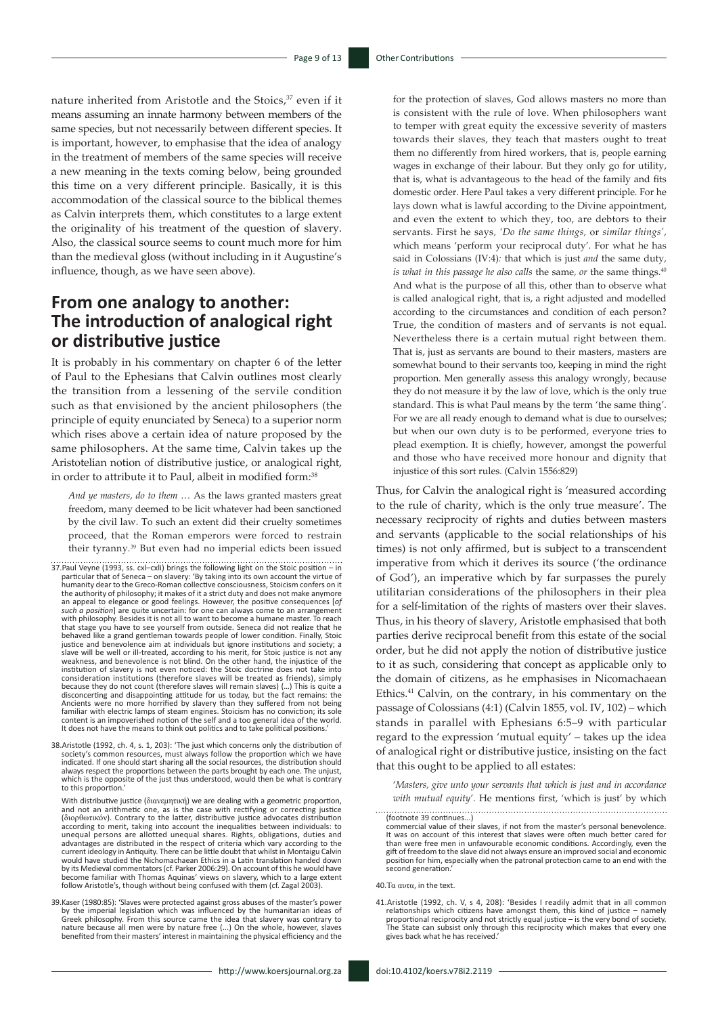nature inherited from Aristotle and the Stoics,<sup>37</sup> even if it means assuming an innate harmony between members of the same species, but not necessarily between different species. It is important, however, to emphasise that the idea of analogy in the treatment of members of the same species will receive a new meaning in the texts coming below, being grounded this time on a very different principle. Basically, it is this accommodation of the classical source to the biblical themes as Calvin interprets them, which constitutes to a large extent the originality of his treatment of the question of slavery. Also, the classical source seems to count much more for him than the medieval gloss (without including in it Augustine's influence, though, as we have seen above).

## **From one analogy to another: The introduction of analogical right or distributive justice**

It is probably in his commentary on chapter 6 of the letter of Paul to the Ephesians that Calvin outlines most clearly the transition from a lessening of the servile condition such as that envisioned by the ancient philosophers (the principle of equity enunciated by Seneca) to a superior norm which rises above a certain idea of nature proposed by the same philosophers. At the same time, Calvin takes up the Aristotelian notion of distributive justice, or analogical right, in order to attribute it to Paul, albeit in modified form:38

*And ye masters, do to them* … As the laws granted masters great freedom, many deemed to be licit whatever had been sanctioned by the civil law. To such an extent did their cruelty sometimes proceed, that the Roman emperors were forced to restrain their tyranny.39 But even had no imperial edicts been issued

- 37.Paul Veyne (1993, ss. cxl–cxli) brings the following light on the Stoic position in particular that of Seneca on slavery: 'By taking into its own account the virtue of humanity dear to the Greco-Roman collective consciousness, Stoicism confers on it the authority of philosophy; it makes of it a strict duty and does not make anymore an appeal to elegance or good feelings. However, the positive consequences [*of such a position*] are quite uncertain: for one can always come to an arrangement with philosophy. Besides it is not all to want to become a humane master. To reach that stage you have to see yourself from outside. Seneca did not realize that he behaved like a grand gentleman towards people of lower condition. Finally, Stoic<br>justice and benevolence aim at individuals but ignore institutions and society; a<br>slave will be well or ill-treated, according to his merit, weakness, and benevolence is not blind. On the other hand, the injustice of the institution of slavery is not even noticed: the Stoic doctrine does not take into consideration institutions (therefore slaves will be treated as friends), simply because they do not count (therefore slaves will remain slaves) (...) This is quite a disconcerting and disappointing attitude for us today, but the fact remains: the Ancients were no more horrified by slavery than they su content is an impoverished notion of the self and a too general idea of the world. It does not have the means to think out politics and to take political positions.'
- 38.Aristotle (1992, ch. 4, s. 1, 203): 'The just which concerns only the distribution of society's common resources, must always follow the proportion which we have indicated. If one should start sharing all the social resources, the distribution should always respect the proportions between the parts brought by each one. The unjust, which is the opposite of the just thus understood, would then be what is contrary to this proportion.'

With distributive justice (διανεμητική) we are dealing with a geometric proportion, and not an arithmetic one, as is the case with rectifying or correcting justice (διορθωτικόν). Contrary to the latter, distributive justice advocates distribution according to merit, taking into account the inequalities between individuals: to unequal persons are allotted unequal shares. Rights, obligations, duties and advantages are distributed in the respect of criteria which vary according to the current ideology in Antiquity. There can be little doubt that whilst in Montaigu Calvin<br>would have studied the Nichomachaean Ethics in a Latin translation handed down<br>by its Medieval commentators (cf. Parker 2006:29). On a become familiar with Thomas Aquinas' views on slavery, which to a large extent follow Aristotle's, though without being confused with them (cf. Zagal 2003)

39. Kaser (1980:85): 'Slaves were protected against gross abuses of the master's power<br>by the imperial legislation which was influenced by the humanitarian ideas of<br>Greek philosophy. From this source came the idea that sla benefited from their masters' interest in maintaining the physical efficiency and the

for the protection of slaves, God allows masters no more than is consistent with the rule of love. When philosophers want to temper with great equity the excessive severity of masters towards their slaves, they teach that masters ought to treat them no differently from hired workers, that is, people earning wages in exchange of their labour. But they only go for utility, that is, what is advantageous to the head of the family and fits domestic order. Here Paul takes a very different principle. For he lays down what is lawful according to the Divine appointment, and even the extent to which they, too, are debtors to their servants. First he says*, 'Do the same things,* or *similar things',*  which means 'perform your reciprocal duty'. For what he has said in Colossians (IV:4)*:* that which is just *and* the same duty*, is what in this passage he also calls* the same*, or* the same things.40 And what is the purpose of all this, other than to observe what is called analogical right, that is, a right adjusted and modelled according to the circumstances and condition of each person? True, the condition of masters and of servants is not equal. Nevertheless there is a certain mutual right between them. That is, just as servants are bound to their masters, masters are somewhat bound to their servants too, keeping in mind the right proportion. Men generally assess this analogy wrongly, because they do not measure it by the law of love, which is the only true standard. This is what Paul means by the term 'the same thing'. For we are all ready enough to demand what is due to ourselves; but when our own duty is to be performed, everyone tries to plead exemption. It is chiefly, however, amongst the powerful and those who have received more honour and dignity that injustice of this sort rules. (Calvin 1556:829)

Thus, for Calvin the analogical right is 'measured according to the rule of charity, which is the only true measure'. The necessary reciprocity of rights and duties between masters and servants (applicable to the social relationships of his times) is not only affirmed, but is subject to a transcendent imperative from which it derives its source ('the ordinance of God'), an imperative which by far surpasses the purely utilitarian considerations of the philosophers in their plea for a self-limitation of the rights of masters over their slaves. Thus, in his theory of slavery, Aristotle emphasised that both parties derive reciprocal benefit from this estate of the social order, but he did not apply the notion of distributive justice to it as such, considering that concept as applicable only to the domain of citizens, as he emphasises in Nicomachaean Ethics.41 Calvin, on the contrary, in his commentary on the passage of Colossians (4:1) (Calvin 1855, vol. IV, 102) – which stands in parallel with Ephesians 6:5–9 with particular regard to the expression 'mutual equity' – takes up the idea of analogical right or distributive justice, insisting on the fact that this ought to be applied to all estates:

'*Masters, give unto your servants that which is just and in accordance with mutual equity*'. He mentions first, 'which is just' by which

(footnote 39 continues...)

40.Τα αυτα, in the text.

41.Aristotle (1992, ch. V, s 4, 208): 'Besides I readily admit that in all common relationships which citizens have amongst them, this kind of justice – namely proportional reciprocity and not strictly equal justice – is the very bond of society The State can subsist only through this reciprocity which makes that every one gives back what he has received.'

commercial value of their slaves, if not from the master's personal benevolence. It was on account of this interest that slaves were often much better cared for than were free men in unfavourable economic conditions. Accordingly, even the gift of freedom to the slave did not always ensure an improved social and economic position for him, especially when the patronal protection came to an end with the second generation.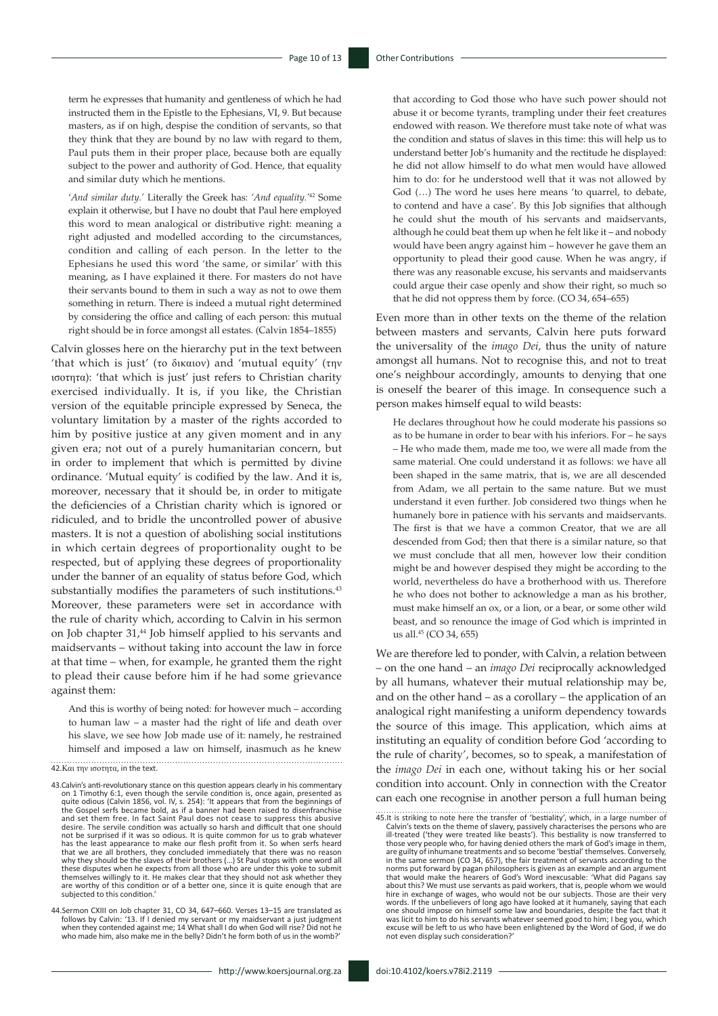term he expresses that humanity and gentleness of which he had instructed them in the Epistle to the Ephesians, VI, 9. But because masters, as if on high, despise the condition of servants, so that they think that they are bound by no law with regard to them, Paul puts them in their proper place, because both are equally subject to the power and authority of God. Hence, that equality and similar duty which he mentions.

'*And similar duty.'* Literally the Greek has: *'And equality.'*<sup>42</sup> Some explain it otherwise, but I have no doubt that Paul here employed this word to mean analogical or distributive right: meaning a right adjusted and modelled according to the circumstances, condition and calling of each person. In the letter to the Ephesians he used this word 'the same, or similar' with this meaning, as I have explained it there. For masters do not have their servants bound to them in such a way as not to owe them something in return. There is indeed a mutual right determined by considering the office and calling of each person: this mutual right should be in force amongst all estates. (Calvin 1854–1855)

Calvin glosses here on the hierarchy put in the text between 'that which is just' (το δικαιον) and 'mutual equity' (την ισοτητα): 'that which is just' just refers to Christian charity exercised individually. It is, if you like, the Christian version of the equitable principle expressed by Seneca, the voluntary limitation by a master of the rights accorded to him by positive justice at any given moment and in any given era; not out of a purely humanitarian concern, but in order to implement that which is permitted by divine ordinance. 'Mutual equity' is codified by the law. And it is, moreover, necessary that it should be, in order to mitigate the deficiencies of a Christian charity which is ignored or ridiculed, and to bridle the uncontrolled power of abusive masters. It is not a question of abolishing social institutions in which certain degrees of proportionality ought to be respected, but of applying these degrees of proportionality under the banner of an equality of status before God, which substantially modifies the parameters of such institutions.<sup>43</sup> Moreover, these parameters were set in accordance with the rule of charity which, according to Calvin in his sermon on Job chapter 31,<sup>44</sup> Job himself applied to his servants and maidservants – without taking into account the law in force at that time – when, for example, he granted them the right to plead their cause before him if he had some grievance against them:

And this is worthy of being noted: for however much – according to human law – a master had the right of life and death over his slave, we see how Job made use of it: namely, he restrained himself and imposed a law on himself, inasmuch as he knew

42.Και την ισοτητα, in the text.

that according to God those who have such power should not abuse it or become tyrants, trampling under their feet creatures endowed with reason. We therefore must take note of what was the condition and status of slaves in this time: this will help us to understand better Job's humanity and the rectitude he displayed: he did not allow himself to do what men would have allowed him to do: for he understood well that it was not allowed by God (…) The word he uses here means 'to quarrel, to debate, to contend and have a case'. By this Job signifies that although he could shut the mouth of his servants and maidservants, although he could beat them up when he felt like it – and nobody would have been angry against him – however he gave them an opportunity to plead their good cause. When he was angry, if there was any reasonable excuse, his servants and maidservants could argue their case openly and show their right, so much so that he did not oppress them by force. (CO 34, 654–655)

Even more than in other texts on the theme of the relation between masters and servants, Calvin here puts forward the universality of the *imago Dei*, thus the unity of nature amongst all humans. Not to recognise this, and not to treat one's neighbour accordingly, amounts to denying that one is oneself the bearer of this image. In consequence such a person makes himself equal to wild beasts:

He declares throughout how he could moderate his passions so as to be humane in order to bear with his inferiors. For – he says – He who made them, made me too, we were all made from the same material. One could understand it as follows: we have all been shaped in the same matrix, that is, we are all descended from Adam, we all pertain to the same nature. But we must understand it even further. Job considered two things when he humanely bore in patience with his servants and maidservants. The first is that we have a common Creator, that we are all descended from God; then that there is a similar nature, so that we must conclude that all men, however low their condition might be and however despised they might be according to the world, nevertheless do have a brotherhood with us. Therefore he who does not bother to acknowledge a man as his brother, must make himself an ox, or a lion, or a bear, or some other wild beast, and so renounce the image of God which is imprinted in us all.45 (CO 34, 655)

We are therefore led to ponder, with Calvin, a relation between – on the one hand – an *imago Dei* reciprocally acknowledged by all humans, whatever their mutual relationship may be, and on the other hand – as a corollary – the application of an analogical right manifesting a uniform dependency towards the source of this image. This application, which aims at instituting an equality of condition before God 'according to the rule of charity', becomes, so to speak, a manifestation of the *imago Dei* in each one, without taking his or her social condition into account. Only in connection with the Creator can each one recognise in another person a full human being

<sup>43.</sup>Calvin's anti-revolutionary stance on this question appears clearly in his commentary<br>on 1 Timothy 6:1, even though the servile condition is, once again, presented as<br>quite odious (Calvin 1856, vol. IV, s. 254): 'It app the Gospel serfs became bold, as if a banner had been raised to disenfranchise and set them free. In fact Saint Paul does not cease to suppress this abusive desire. The servile condition was actually so harsh and difficult that one should not be surprised if it was so odious. It is quite common for us to grab whatever has the least appearance to make our flesh profit from it. So when serfs heard that we are all brothers, they concluded immediately that there was no reason why they should be the slaves of their brothers (…) St Paul stops with one word all these disputes when he expects from all those who are under this yoke to submit themselves willingly to it. He makes clear that they should not ask whether they are worthy of this condition or of a better one, since it is quite enough that are subjected to this condition.'

<sup>44.</sup>Sermon CXIII on Job chapter 31, CO 34, 647–660. Verses 13–15 are translated as follows by Calvin: '13. If I denied my servant or my maidservant a just judgment when they contended against me; 14 What shall I do when God will rise? Did not he who made him, also make me in the belly? Didn't he form both of us in the womb?

<sup>45.</sup>It is striking to note here the transfer of 'bestiality', which, in a large number of Calvin's texts on the theme of slavery, passively characterises the persons who are ill-treated ('they were treated like beasts'). Th are guilty of inhumane treatments and so become 'bestial' themselves. Conversely, in the same sermon (CO 34, 657), the fair treatment of servants according to the norms put forward by pagan philosophers is given as an example and an argument that would make the hearers of God's Word inexcusable: 'What did Pagans say about this? We must use servants as paid workers, that is, people whom we would hire in exchange of wages, who would not be our subjects. Those are their very words. If the unbelievers of long ago have looked at it humanely, saying that each one should impose on himself some law and boundaries, despite the fact that it was licit to him to do his servants whatever seemed good to him; I beg you, which excuse will be left to us who have been enlightened by the Word of God, if we do not even display such consideration?'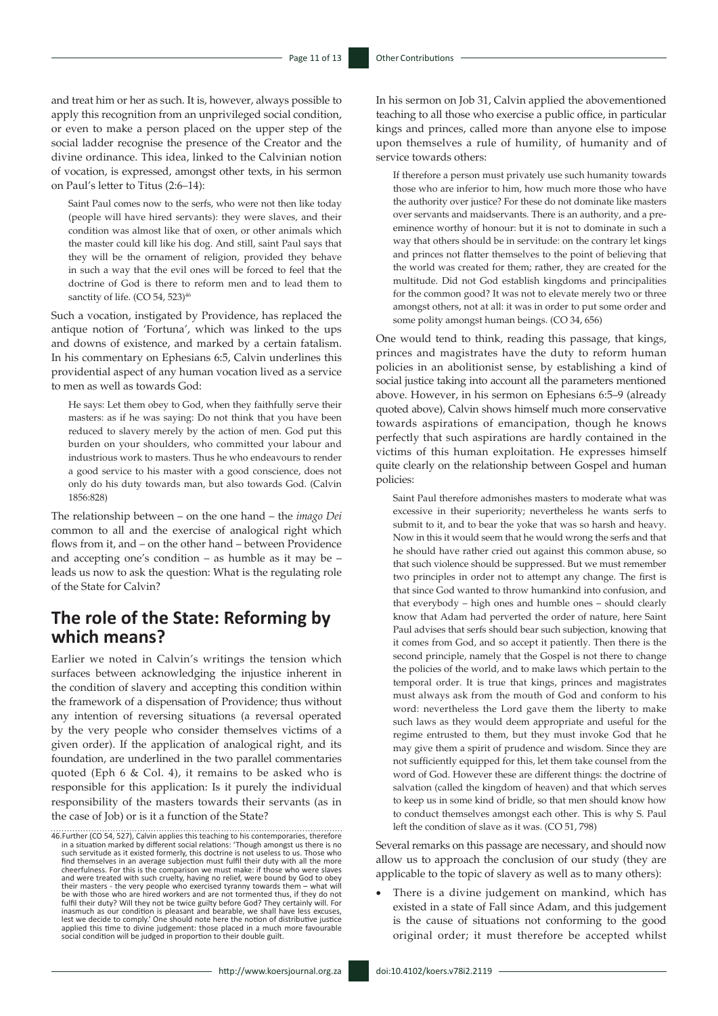and treat him or her as such. It is, however, always possible to apply this recognition from an unprivileged social condition, or even to make a person placed on the upper step of the social ladder recognise the presence of the Creator and the divine ordinance. This idea, linked to the Calvinian notion of vocation, is expressed, amongst other texts, in his sermon on Paul's letter to Titus (2:6–14):

Saint Paul comes now to the serfs, who were not then like today (people will have hired servants): they were slaves, and their condition was almost like that of oxen, or other animals which the master could kill like his dog. And still, saint Paul says that they will be the ornament of religion, provided they behave in such a way that the evil ones will be forced to feel that the doctrine of God is there to reform men and to lead them to sanctity of life. (CO 54, 523)<sup>46</sup>

Such a vocation, instigated by Providence, has replaced the antique notion of 'Fortuna', which was linked to the ups and downs of existence, and marked by a certain fatalism. In his commentary on Ephesians 6:5, Calvin underlines this providential aspect of any human vocation lived as a service to men as well as towards God:

He says: Let them obey to God, when they faithfully serve their masters: as if he was saying: Do not think that you have been reduced to slavery merely by the action of men. God put this burden on your shoulders, who committed your labour and industrious work to masters. Thus he who endeavours to render a good service to his master with a good conscience, does not only do his duty towards man, but also towards God. (Calvin 1856:828)

The relationship between – on the one hand – the *imago Dei* common to all and the exercise of analogical right which flows from it, and – on the other hand – between Providence and accepting one's condition – as humble as it may be – leads us now to ask the question: What is the regulating role of the State for Calvin?

# **The role of the State: Reforming by which means?**

Earlier we noted in Calvin's writings the tension which surfaces between acknowledging the injustice inherent in the condition of slavery and accepting this condition within the framework of a dispensation of Providence; thus without any intention of reversing situations (a reversal operated by the very people who consider themselves victims of a given order). If the application of analogical right, and its foundation, are underlined in the two parallel commentaries quoted (Eph 6 & Col. 4), it remains to be asked who is responsible for this application: Is it purely the individual responsibility of the masters towards their servants (as in the case of Job) or is it a function of the State?

In his sermon on Job 31, Calvin applied the abovementioned teaching to all those who exercise a public office, in particular kings and princes, called more than anyone else to impose upon themselves a rule of humility, of humanity and of service towards others:

If therefore a person must privately use such humanity towards those who are inferior to him, how much more those who have the authority over justice? For these do not dominate like masters over servants and maidservants. There is an authority, and a preeminence worthy of honour: but it is not to dominate in such a way that others should be in servitude: on the contrary let kings and princes not flatter themselves to the point of believing that the world was created for them; rather, they are created for the multitude. Did not God establish kingdoms and principalities for the common good? It was not to elevate merely two or three amongst others, not at all: it was in order to put some order and some polity amongst human beings. (CO 34, 656)

One would tend to think, reading this passage, that kings, princes and magistrates have the duty to reform human policies in an abolitionist sense, by establishing a kind of social justice taking into account all the parameters mentioned above. However, in his sermon on Ephesians 6:5–9 (already quoted above), Calvin shows himself much more conservative towards aspirations of emancipation, though he knows perfectly that such aspirations are hardly contained in the victims of this human exploitation. He expresses himself quite clearly on the relationship between Gospel and human policies:

Saint Paul therefore admonishes masters to moderate what was excessive in their superiority; nevertheless he wants serfs to submit to it, and to bear the yoke that was so harsh and heavy. Now in this it would seem that he would wrong the serfs and that he should have rather cried out against this common abuse, so that such violence should be suppressed. But we must remember two principles in order not to attempt any change. The first is that since God wanted to throw humankind into confusion, and that everybody – high ones and humble ones – should clearly know that Adam had perverted the order of nature, here Saint Paul advises that serfs should bear such subjection, knowing that it comes from God, and so accept it patiently. Then there is the second principle, namely that the Gospel is not there to change the policies of the world, and to make laws which pertain to the temporal order. It is true that kings, princes and magistrates must always ask from the mouth of God and conform to his word: nevertheless the Lord gave them the liberty to make such laws as they would deem appropriate and useful for the regime entrusted to them, but they must invoke God that he may give them a spirit of prudence and wisdom. Since they are not sufficiently equipped for this, let them take counsel from the word of God. However these are different things: the doctrine of salvation (called the kingdom of heaven) and that which serves to keep us in some kind of bridle, so that men should know how to conduct themselves amongst each other. This is why S. Paul left the condition of slave as it was. (CO 51, 798)

Several remarks on this passage are necessary, and should now allow us to approach the conclusion of our study (they are applicable to the topic of slavery as well as to many others):

There is a divine judgement on mankind, which has existed in a state of Fall since Adam, and this judgement is the cause of situations not conforming to the good original order; it must therefore be accepted whilst

<sup>46.</sup>Further (CO 54, 527), Calvin applies this teaching to his contemporaries, therefore in a situation marked by different social relations: 'Though amongst us there is no such servitude as it existed formerly, this doctrine is not useless to us. Those who find themselves in an average subjection must fulfil their duty with all the more<br>cheerfulness. For this is the comparison we must make: if those who were slaves<br>and were treated with such cruelty, having no relief, were b their masters - the very people who exercised tyranny towards them – what will be with those who are hired workers and are not tormented thus, if they do not fulfil their duty? Will they not be twice guilty before God? They certainly will. For inasmuch as our condition is pleasant and bearable, we shall have less excuses, lest we decide to comply.' One should note here the notion of distributive justice applied this time to divine judgement: those placed in a much more favourable social condition will be judged in proportion to their double guilt.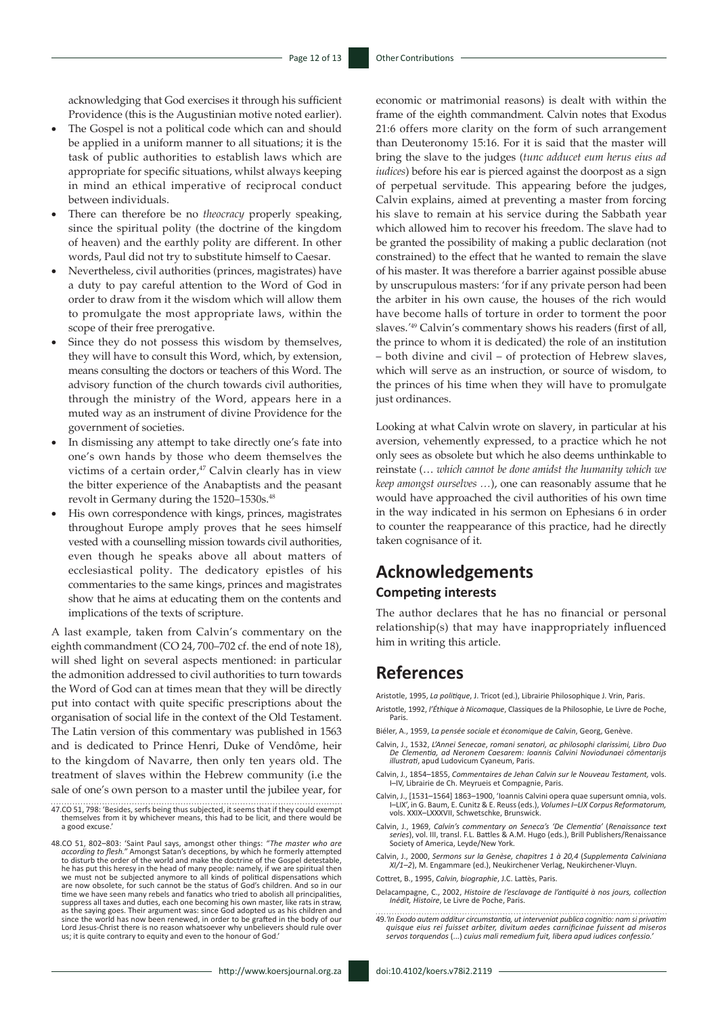acknowledging that God exercises it through his sufficient Providence (this is the Augustinian motive noted earlier).

- The Gospel is not a political code which can and should be applied in a uniform manner to all situations; it is the task of public authorities to establish laws which are appropriate for specific situations, whilst always keeping in mind an ethical imperative of reciprocal conduct between individuals.
- There can therefore be no *theocracy* properly speaking, since the spiritual polity (the doctrine of the kingdom of heaven) and the earthly polity are different. In other words, Paul did not try to substitute himself to Caesar.
- Nevertheless, civil authorities (princes, magistrates) have a duty to pay careful attention to the Word of God in order to draw from it the wisdom which will allow them to promulgate the most appropriate laws, within the scope of their free prerogative.
- Since they do not possess this wisdom by themselves, they will have to consult this Word, which, by extension, means consulting the doctors or teachers of this Word. The advisory function of the church towards civil authorities, through the ministry of the Word, appears here in a muted way as an instrument of divine Providence for the government of societies.
- In dismissing any attempt to take directly one's fate into one's own hands by those who deem themselves the victims of a certain order,<sup>47</sup> Calvin clearly has in view the bitter experience of the Anabaptists and the peasant revolt in Germany during the 1520-1530s.<sup>48</sup>
- His own correspondence with kings, princes, magistrates throughout Europe amply proves that he sees himself vested with a counselling mission towards civil authorities, even though he speaks above all about matters of ecclesiastical polity. The dedicatory epistles of his commentaries to the same kings, princes and magistrates show that he aims at educating them on the contents and implications of the texts of scripture.

A last example, taken from Calvin's commentary on the eighth commandment (CO 24, 700–702 cf. the end of note 18), will shed light on several aspects mentioned: in particular the admonition addressed to civil authorities to turn towards the Word of God can at times mean that they will be directly put into contact with quite specific prescriptions about the organisation of social life in the context of the Old Testament. The Latin version of this commentary was published in 1563 and is dedicated to Prince Henri, Duke of Vendôme, heir to the kingdom of Navarre, then only ten years old. The treatment of slaves within the Hebrew community (i.e the sale of one's own person to a master until the jubilee year, for

- 47.CO 51, 798: 'Besides, serfs being thus subjected, it seems that if they could exempt themselves from it by whichever means, this had to be licit, and there would be a good excuse.'
- 48.CO 51, 802–803: 'Saint Paul says, amongst other things: *"The master who are according to flesh."* Amongst Satan's deceptions, by which he formerly attempted to disturb the order of the world and make the doctrine of the Gospel detestable, he has put this heresy in the head of many people: namely, if we are spiritual then<br>we must not be subjected anymore to all kinds of political dispensations which<br>are now obsolete, for such cannot be the status of God's ch suppress all taxes and duties, each one becoming his own master, like rats in straw,<br>as the saying goes. Their argument was: since God adopted us as his children and<br>since the world has now been renewed, in order to be gra Lord Jesus-Christ there is no reason whatsoever why unbelievers should rule over us; it is quite contrary to equity and even to the honour of God.'

economic or matrimonial reasons) is dealt with within the frame of the eighth commandment. Calvin notes that Exodus 21:6 offers more clarity on the form of such arrangement than Deuteronomy 15:16. For it is said that the master will bring the slave to the judges (*tunc adducet eum herus eius ad iudices*) before his ear is pierced against the doorpost as a sign of perpetual servitude. This appearing before the judges, Calvin explains, aimed at preventing a master from forcing his slave to remain at his service during the Sabbath year which allowed him to recover his freedom. The slave had to be granted the possibility of making a public declaration (not constrained) to the effect that he wanted to remain the slave of his master. It was therefore a barrier against possible abuse by unscrupulous masters: 'for if any private person had been the arbiter in his own cause, the houses of the rich would have become halls of torture in order to torment the poor slaves.*'* <sup>49</sup> Calvin's commentary shows his readers (first of all, the prince to whom it is dedicated) the role of an institution – both divine and civil – of protection of Hebrew slaves, which will serve as an instruction, or source of wisdom, to the princes of his time when they will have to promulgate just ordinances.

Looking at what Calvin wrote on slavery, in particular at his aversion, vehemently expressed, to a practice which he not only sees as obsolete but which he also deems unthinkable to reinstate (… *which cannot be done amidst the humanity which we keep amongst ourselves …*), one can reasonably assume that he would have approached the civil authorities of his own time in the way indicated in his sermon on Ephesians 6 in order to counter the reappearance of this practice, had he directly taken cognisance of it.

#### **Acknowledgements Competing interests**

The author declares that he has no financial or personal relationship(s) that may have inappropriately influenced him in writing this article.

#### **References**

Aristotle, 1995, *La politique*, J. Tricot (ed.), Librairie Philosophique J. Vrin, Paris. Aristotle, 1992, *l'Éthique à Nicomaque*, Classiques de la Philosophie, Le Livre de Poche, Paris.

Biéler, A., 1959, *La pensée sociale et économique de Calvin*, Georg, Genève.

- Calvin, J., 1532, *L'Annei Senecae*, *romani senatori, ac philosophi clarissimi, Libro Duo De Clementia, ad Neronem Caesarem: Ioannis Calvini Noviodunaei cōmentarijs illustrati*, apud Ludovicum Cyaneum, Paris.
- Calvin, J., 1854–1855, *Commentaires de Jehan Calvin sur le Nouveau Testament,* vols. I–IV, Librairie de Ch. Meyrueis et Compagnie, Paris.
- Calvin, J., [1531–1564] 1863–1900, 'Ioannis Calvini opera quae supersunt omnia, vols. I–LIX', in G. Baum, E. Cunitz & E. Reuss (eds.), *Volumes I–LIX Corpus Reformatorum,*  vols. XXIX–LXXXVII, Schwetschke, Brunswick.
- Calvin, J., 1969, *Calvin's commentary on Seneca's 'De Clementia'* (*Renaissance text series*), vol. III, transl. F.L. Battles & A.M. Hugo (eds.), Brill Publishers/Renaissance Society of America, Leyde/New York.
- Calvin, J., 2000, *Sermons sur la Genèse, chapitres 1 à 20,4* (*Supplementa Calviniana XI/1–2*), M. Engammare (ed.), Neukirchener Verlag, Neukirchener-Vluyn.

Cottret, B., 1995, *Calvin, biographie*, J.C. Lattès, Paris.

- Delacampagne, C., 2002, *Histoire de l'esclavage de l'antiquité à nos jours, collection Inédit, Histoire*, Le Livre de Poche, Paris.
- 49.*'In Exodo autem additur circumstantia, ut interveniat publica cognitio: nam si privatim quisque eius rei fuisset arbiter, divitum aedes carnificinae fuissent ad miseros servos torquendos* (...) *cuius mali remedium fuit, libera apud iudices confessio.'*